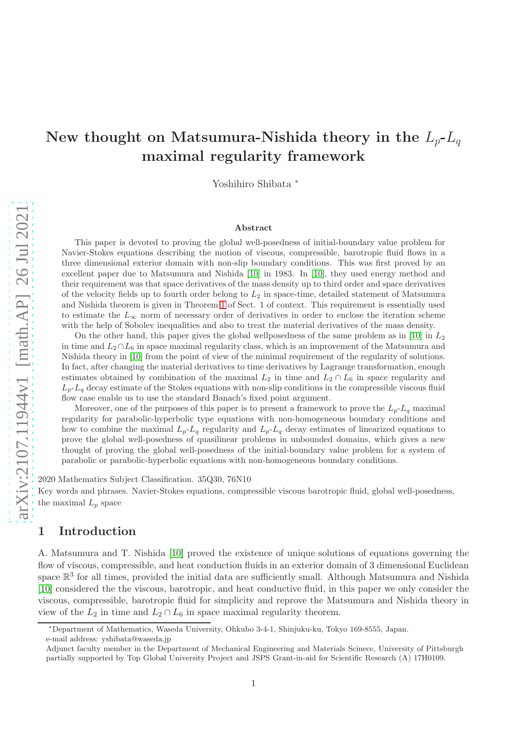# New thought on Matsumura-Nishida theory in the  $L_p-L_q$ maximal regularity framework

Yoshihiro Shibata <sup>∗</sup>

#### Abstract

This paper is devoted to proving the global well-posedness of initial-boundary value problem for Navier-Stokes equations describing the motion of viscous, compressible, barotropic fluid flows in a three dimensional exterior domain with non-slip boundary conditions. This was first proved by an excellent paper due to Matsumura and Nishida [\[10\]](#page-24-0) in 1983. In [\[10\]](#page-24-0), they used energy method and their requirement was that space derivatives of the mass density up to third order and space derivatives of the velocity fields up to fourth order belong to  $L_2$  in space-time, detailed statement of Matsumura and Nishida theorem is given in Theorem [1](#page-1-0) of Sect. 1 of context. This requirement is essentially used to estimate the  $L_{\infty}$  norm of necessary order of derivatives in order to enclose the iteration scheme with the help of Sobolev inequalities and also to treat the material derivatives of the mass density.

On the other hand, this paper gives the global wellposedness of the same problem as in  $[10]$  in  $L_2$ in time and  $L_2 \cap L_6$  in space maximal regularity class, which is an improvement of the Matsumura and Nishida theory in [\[10\]](#page-24-0) from the point of view of the minimal requirement of the regularity of solutions. In fact, after changing the material derivatives to time derivatives by Lagrange transformation, enough estimates obtained by combination of the maximal  $L_2$  in time and  $L_2 \cap L_6$  in space regularity and  $L_p-L_q$  decay estimate of the Stokes equations with non-slip conditions in the compressible viscous fluid flow case enable us to use the standard Banach's fixed point argument.

Moreover, one of the purposes of this paper is to present a framework to prove the  $L_p-L_q$  maximal regularity for parabolic-hyperbolic type equations with non-homogeneous boundary conditions and how to combine the maximal  $L_p-L_q$  regularity and  $L_p-L_q$  decay estimates of linearized equations to prove the global well-posedness of quasilinear problems in unbounded domains, which gives a new thought of proving the global well-posedness of the initial-boundary value problem for a system of parabolic or parabolic-hyperbolic equations with non-homogeneous boundary conditions.

2020 Mathematics Subject Classification. 35Q30, 76N10

Key words and phrases. Navier-Stokes equations, compressible viscous barotropic fluid, global well-posedness, the maximal  $L_p$  space

#### 1 Introduction

A. Matsumura and T. Nishida [\[10\]](#page-24-0) proved the existence of unique solutions of equations governing the flow of viscous, compressible, and heat conduction fluids in an exterior domain of 3 dimensional Euclidean space  $\mathbb{R}^3$  for all times, provided the initial data are sufficiently small. Although Matsumura and Nishida [\[10\]](#page-24-0) considered the the viscous, barotropic, and heat conductive fluid, in this paper we only consider the viscous, compressible, barotropic fluid for simplicity and reprove the Matsumura and Nishida theory in view of the  $L_2$  in time and  $L_2 \cap L_6$  in space maximal regularity theorem.

<sup>∗</sup>Department of Mathematics, Waseda University, Ohkubo 3-4-1, Shinjuku-ku, Tokyo 169-8555, Japan.

e-mail address: yshibata@waseda.jp

Adjunct faculty member in the Department of Mechanical Engineering and Materials Scinece, University of Pittsburgh partially supported by Top Global University Project and JSPS Grant-in-aid for Scientific Research (A) 17H0109.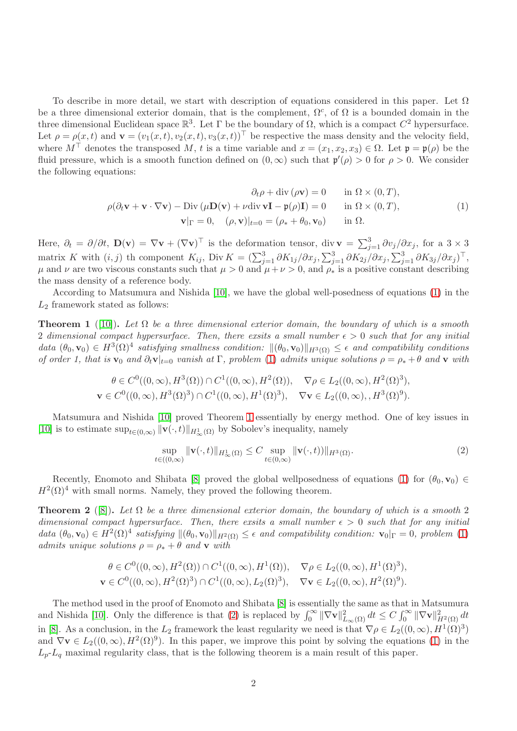To describe in more detail, we start with description of equations considered in this paper. Let  $\Omega$ be a three dimensional exterior domain, that is the complement,  $\Omega^c$ , of  $\Omega$  is a bounded domain in the three dimensional Euclidean space  $\mathbb{R}^3$ . Let  $\Gamma$  be the boundary of  $\Omega$ , which is a compact  $C^2$  hypersurface. Let  $\rho = \rho(x, t)$  and  $\mathbf{v} = (v_1(x, t), v_2(x, t), v_3(x, t))^{\top}$  be respective the mass density and the velocity field, where  $M^{\top}$  denotes the transposed M, t is a time variable and  $x = (x_1, x_2, x_3) \in \Omega$ . Let  $\mathfrak{p} = \mathfrak{p}(\rho)$  be the fluid pressure, which is a smooth function defined on  $(0, \infty)$  such that  $\mathfrak{p}'(\rho) > 0$  for  $\rho > 0$ . We consider the following equations:

<span id="page-1-1"></span>
$$
\partial_t \rho + \text{div}(\rho \mathbf{v}) = 0 \quad \text{in } \Omega \times (0, T),
$$
  
\n
$$
\rho(\partial_t \mathbf{v} + \mathbf{v} \cdot \nabla \mathbf{v}) - \text{Div}(\mu \mathbf{D}(\mathbf{v}) + \nu \text{div} \mathbf{v} \mathbf{I} - \mathbf{p}(\rho) \mathbf{I}) = 0 \quad \text{in } \Omega \times (0, T),
$$
  
\n
$$
\mathbf{v}|_{\Gamma} = 0, \quad (\rho, \mathbf{v})|_{t=0} = (\rho_* + \theta_0, \mathbf{v}_0) \quad \text{in } \Omega.
$$
 (1)

Here,  $\partial_t = \partial/\partial t$ ,  $\mathbf{D}(\mathbf{v}) = \nabla \mathbf{v} + (\nabla \mathbf{v})^\top$  is the deformation tensor, div  $\mathbf{v} = \sum_{j=1}^3 \partial v_j / \partial x_j$ , for a 3 × 3 matrix K with  $(i, j)$  th component  $K_{ij}$ , Div  $K = \left(\sum_{j=1}^3 \partial K_{1j}/\partial x_j, \sum_{j=1}^3 \partial K_{2j}/\partial x_j, \sum_{j=1}^3 \partial K_{3j}/\partial x_j\right)^{\top}$ ,  $\mu$  and  $\nu$  are two viscous constants such that  $\mu > 0$  and  $\mu + \nu > 0$ , and  $\rho_*$  is a positive constant describing the mass density of a reference body.

According to Matsumura and Nishida [\[10\]](#page-24-0), we have the global well-posedness of equations [\(1\)](#page-1-1) in the  $L_2$  framework stated as follows:

<span id="page-1-0"></span>**Theorem 1** ([\[10\]](#page-24-0)). Let  $\Omega$  be a three dimensional exterior domain, the boundary of which is a smooth 2 dimensional compact hypersurface. Then, there exsits a small number  $\epsilon > 0$  such that for any initial data  $(\theta_0, \mathbf{v}_0) \in H^3(\Omega)^4$  satisfying smallness condition:  $\|(\theta_0, \mathbf{v}_0)\|_{H^3(\Omega)} \leq \epsilon$  and compatibility conditions of order 1, that is  $\mathbf{v}_0$  and  $\partial_t \mathbf{v}|_{t=0}$  vanish at  $\Gamma$ , problem [\(1\)](#page-1-1) admits unique solutions  $\rho = \rho_* + \theta$  and  $\mathbf{v}$  with

$$
\theta \in C^0((0,\infty), H^3(\Omega)) \cap C^1((0,\infty), H^2(\Omega)), \quad \nabla \rho \in L_2((0,\infty), H^2(\Omega)^3),
$$
  

$$
\mathbf{v} \in C^0((0,\infty), H^3(\Omega)^3) \cap C^1((0,\infty), H^1(\Omega)^3), \quad \nabla \mathbf{v} \in L_2((0,\infty), H^3(\Omega)^9).
$$

Matsumura and Nishida [\[10\]](#page-24-0) proved Theorem [1](#page-1-0) essentially by energy method. One of key issues in [\[10\]](#page-24-0) is to estimate  $\sup_{t\in(0,\infty)}\|\mathbf{v}(\cdot,t)\|_{H^1_{\infty}(\Omega)}$  by Sobolev's inequality, namely

<span id="page-1-2"></span>
$$
\sup_{t \in ((0,\infty)} \|\mathbf{v}(\cdot,t)\|_{H^1_{\infty}(\Omega)} \le C \sup_{t \in (0,\infty)} \|\mathbf{v}(\cdot,t)\|_{H^3(\Omega)}.
$$
\n(2)

Recently, Enomoto and Shibata [\[8\]](#page-24-1) proved the global wellposedness of equations [\(1\)](#page-1-1) for  $(\theta_0, \mathbf{v}_0) \in$  $H^2(\Omega)^4$  with small norms. Namely, they proved the following theorem.

**Theorem 2** ([\[8\]](#page-24-1)). Let  $\Omega$  be a three dimensional exterior domain, the boundary of which is a smooth 2 dimensional compact hypersurface. Then, there exsits a small number  $\epsilon > 0$  such that for any initial data  $(\theta_0, \mathbf{v}_0) \in H^2(\Omega)^4$  satisfying  $\|(\theta_0, \mathbf{v}_0)\|_{H^2(\Omega)} \leq \epsilon$  and compatibility condition:  $\mathbf{v}_0|_{\Gamma} = 0$ , problem [\(1\)](#page-1-1) admits unique solutions  $\rho = \rho_* + \theta$  and v with

$$
\theta \in C^0((0,\infty), H^2(\Omega)) \cap C^1((0,\infty), H^1(\Omega)), \quad \nabla \rho \in L_2((0,\infty), H^1(\Omega)^3),
$$
  

$$
\mathbf{v} \in C^0((0,\infty), H^2(\Omega)^3) \cap C^1((0,\infty), L_2(\Omega)^3), \quad \nabla \mathbf{v} \in L_2((0,\infty), H^2(\Omega)^9).
$$

The method used in the proof of Enomoto and Shibata [\[8\]](#page-24-1) is essentially the same as that in Matsumura and Nishida [\[10\]](#page-24-0). Only the difference is that [\(2\)](#page-1-2) is replaced by  $\int_0^\infty \|\nabla \mathbf{v}\|_{L_\infty(\Omega)}^2 dt \leq C \int_0^\infty \|\nabla \mathbf{v}\|_{H^2(\Omega)}^2 dt$ in [\[8\]](#page-24-1). As a conclusion, in the  $L_2$  framework the least regularity we need is that  $\nabla \rho \in L_2((0,\infty), H^1(\Omega)^3)$ and  $\nabla \mathbf{v} \in L_2((0,\infty), H^2(\Omega)^9)$ . In this paper, we improve this point by solving the equations [\(1\)](#page-1-1) in the  $L_p-L_q$  maximal regularity class, that is the following theorem is a main result of this paper.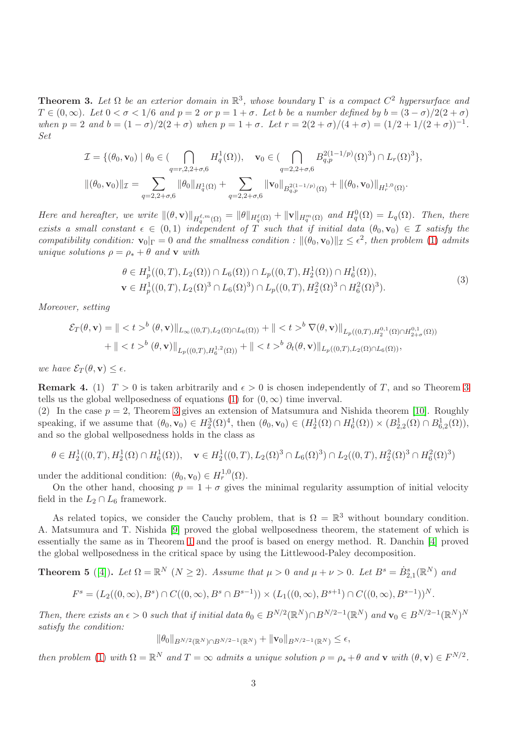<span id="page-2-0"></span>**Theorem 3.** Let  $\Omega$  be an exterior domain in  $\mathbb{R}^3$ , whose boundary  $\Gamma$  is a compact  $C^2$  hypersurface and  $T \in (0,\infty)$ . Let  $0 < \sigma < 1/6$  and  $p = 2$  or  $p = 1 + \sigma$ . Let b be a number defined by  $b = (3 - \sigma)/2(2 + \sigma)$ when  $p = 2$  and  $b = (1 - \sigma)/2(2 + \sigma)$  when  $p = 1 + \sigma$ . Let  $r = 2(2 + \sigma)/(4 + \sigma) = (1/2 + 1/(2 + \sigma))^{-1}$ . Set

$$
\mathcal{I} = \{(\theta_0, \mathbf{v}_0) \mid \theta_0 \in (\bigcap_{q=r,2,2+\sigma,6} H_q^1(\Omega)), \quad \mathbf{v}_0 \in (\bigcap_{q=2,2+\sigma,6} B_{q,p}^{2(1-1/p)}(\Omega)^3) \cap L_r(\Omega)^3\},
$$

$$
\|(\theta_0, \mathbf{v}_0)\|_{\mathcal{I}} = \sum_{q=2,2+\sigma,6} \|\theta_0\|_{H_q^1(\Omega)} + \sum_{q=2,2+\sigma,6} \|\mathbf{v}_0\|_{B_{q,p}^{2(1-1/p)}(\Omega)} + \|(\theta_0, \mathbf{v}_0)\|_{H_r^{1,0}(\Omega)}.
$$

Here and hereafter, we write  $\|(\theta, \mathbf{v})\|_{H_q^{\ell,m}(\Omega)} = \|\theta\|_{H_q^{\ell}(\Omega)} + \|\mathbf{v}\|_{H_q^m(\Omega)}$  and  $H_q^0(\Omega) = L_q(\Omega)$ . Then, there exists a small constant  $\epsilon \in (0,1)$  independent of T such that if initial data  $(\theta_0, \mathbf{v}_0) \in \mathcal{I}$  satisfy the compatibility condition:  $\mathbf{v}_0|_{\Gamma} = 0$  and the smallness condition :  $\|(\theta_0, \mathbf{v}_0)\|_{\mathcal{I}} \leq \epsilon^2$ , then problem [\(1\)](#page-1-1) admits unique solutions  $\rho = \rho_* + \theta$  and **v** with

<span id="page-2-1"></span>
$$
\theta \in H_p^1((0,T), L_2(\Omega)) \cap L_6(\Omega) \cap L_p((0,T), H_2^1(\Omega)) \cap H_6^1(\Omega)),
$$
  
\n
$$
\mathbf{v} \in H_p^1((0,T), L_2(\Omega)^3 \cap L_6(\Omega)^3) \cap L_p((0,T), H_2^2(\Omega)^3 \cap H_6^2(\Omega)^3).
$$
\n(3)

Moreover, setting

$$
\mathcal{E}_T(\theta, \mathbf{v}) = \| \langle t \rangle^b (\theta, \mathbf{v}) \|_{L_\infty((0,T), L_2(\Omega) \cap L_6(\Omega))} + \| \langle t \rangle^b \nabla(\theta, \mathbf{v}) \|_{L_p((0,T), H_2^{0,1}(\Omega) \cap H_{2+\sigma}^{0,1}(\Omega))}
$$
  
+  $\| \langle t \rangle^b (\theta, \mathbf{v}) \|_{L_p((0,T), H_6^{1,2}(\Omega))} + \| \langle t \rangle^b \partial_t(\theta, \mathbf{v}) \|_{L_p((0,T), L_2(\Omega) \cap L_6(\Omega))},$ 

we have  $\mathcal{E}_T(\theta, \mathbf{v}) \leq \epsilon$ .

**Remark 4.** (1)  $T > 0$  is taken arbitrarily and  $\epsilon > 0$  is chosen independently of T, and so Theorem [3](#page-2-0) tells us the global wellposedness of equations [\(1\)](#page-1-1) for  $(0, \infty)$  time inverval.

(2) In the case  $p = 2$ , Theorem [3](#page-2-0) gives an extension of Matsumura and Nishida theorem [\[10\]](#page-24-0). Roughly speaking, if we assume that  $(\theta_0, \mathbf{v}_0) \in H_2^3(\Omega)^4$ , then  $(\theta_0, \mathbf{v}_0) \in (H_2^1(\Omega) \cap H_6^1(\Omega)) \times (B_{2,2}^1(\Omega) \cap B_{6,2}^1(\Omega)),$ and so the global wellposedness holds in the class as

$$
\theta \in H_2^1((0,T),H_2^1(\Omega) \cap H_6^1(\Omega)), \quad \mathbf{v} \in H_2^1((0,T),L_2(\Omega)^3 \cap L_6(\Omega)^3) \cap L_2((0,T),H_2^2(\Omega)^3 \cap H_6^2(\Omega)^3)
$$

under the additional condition:  $(\theta_0, \mathbf{v}_0) \in H_r^{1,0}(\Omega)$ .

On the other hand, choosing  $p = 1 + \sigma$  gives the minimal regularity assumption of initial velocity field in the  $L_2 \cap L_6$  framework.

As related topics, we consider the Cauchy problem, that is  $\Omega = \mathbb{R}^3$  without boundary condition. A. Matsumura and T. Nishida [\[9\]](#page-24-2) proved the global wellposedness theorem, the statement of which is essentially the same as in Theorem [1](#page-1-0) and the proof is based on energy method. R. Danchin [\[4\]](#page-24-3) proved the global wellposedness in the critical space by using the Littlewood-Paley decomposition.

**Theorem 5** ([\[4\]](#page-24-3)). Let  $\Omega = \mathbb{R}^N$  ( $N \ge 2$ ). Assume that  $\mu > 0$  and  $\mu + \nu > 0$ . Let  $B^s = \dot{B}_{2,1}^s(\mathbb{R}^N)$  and

$$
F^{s} = (L_2((0,\infty),B^{s}) \cap C((0,\infty),B^{s} \cap B^{s-1})) \times (L_1((0,\infty),B^{s+1}) \cap C((0,\infty),B^{s-1}))^{N}.
$$

Then, there exists an  $\epsilon > 0$  such that if initial data  $\theta_0 \in B^{N/2}(\mathbb{R}^N) \cap B^{N/2-1}(\mathbb{R}^N)$  and  $\mathbf{v}_0 \in B^{N/2-1}(\mathbb{R}^N)^N$ satisfy the condition:

$$
\|\theta_0\|_{B^{N/2}(\mathbb{R}^N)\cap B^{N/2-1}(\mathbb{R}^N)} + \|\mathbf{v}_0\|_{B^{N/2-1}(\mathbb{R}^N)} \le \epsilon,
$$

then problem [\(1\)](#page-1-1) with  $\Omega = \mathbb{R}^N$  and  $T = \infty$  admits a unique solution  $\rho = \rho_* + \theta$  and  $\mathbf{v}$  with  $(\theta, \mathbf{v}) \in F^{N/2}$ .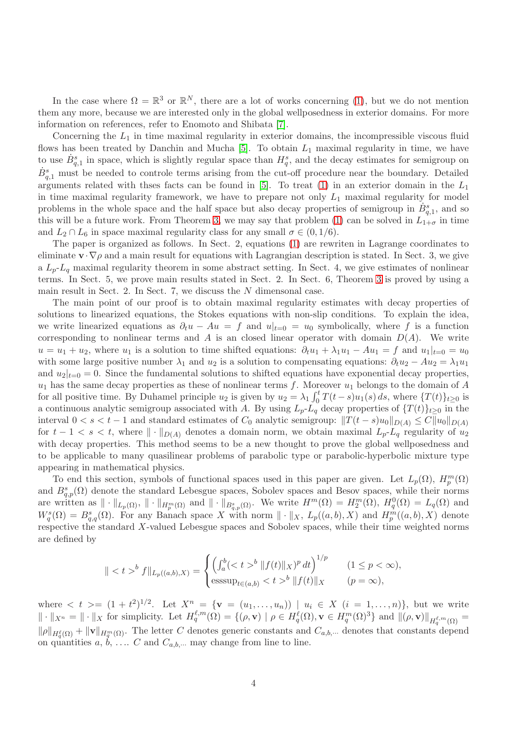In the case where  $\Omega = \mathbb{R}^3$  or  $\mathbb{R}^N$ , there are a lot of works concerning [\(1\)](#page-1-1), but we do not mention them any more, because we are interested only in the global wellposedness in exterior domains. For more information on references, refer to Enomoto and Shibata [\[7\]](#page-24-4).

Concerning the  $L_1$  in time maximal regularity in exterior domains, the incompressible viscous fluid flows has been treated by Danchin and Mucha  $[5]$ . To obtain  $L_1$  maximal regularity in time, we have to use  $\dot{B}_{q,1}^s$  in space, which is slightly regular space than  $H_q^s$ , and the decay estimates for semigroup on  $\dot{B}^s_{q,1}$  must be needed to controle terms arising from the cut-off procedure near the boundary. Detailed arguments related with thses facts can be found in [\[5\]](#page-24-5). To treat [\(1\)](#page-1-1) in an exterior domain in the  $L_1$ in time maximal regularity framework, we have to prepare not only  $L_1$  maximal regularity for model problems in the whole space and the half space but also decay properties of semigroup in  $\dot{B}^s_{q,1}$ , and so this will be a future work. From Theorem [3,](#page-2-0) we may say that problem [\(1\)](#page-1-1) can be solved in  $L_{1+\sigma}$  in time and  $L_2 \cap L_6$  in space maximal regularity class for any small  $\sigma \in (0, 1/6)$ .

The paper is organized as follows. In Sect. 2, equations [\(1\)](#page-1-1) are rewriten in Lagrange coordinates to eliminate  $\mathbf{v} \cdot \nabla \rho$  and a main result for equations with Lagrangian description is stated. In Sect. 3, we give a  $L_p-L_q$  maximal regularity theorem in some abstract setting. In Sect. 4, we give estimates of nonlinear terms. In Sect. 5, we prove main results stated in Sect. 2. In Sect. 6, Theorem [3](#page-2-0) is proved by using a main result in Sect. 2. In Sect. 7, we discuss the N dimensonal case.

The main point of our proof is to obtain maximal regularity estimates with decay properties of solutions to linearized equations, the Stokes equations with non-slip conditions. To explain the idea, we write linearized equations as  $\partial_t u - Au = f$  and  $u|_{t=0} = u_0$  symbolically, where f is a function corresponding to nonlinear terms and A is an closed linear operator with domain  $D(A)$ . We write  $u = u_1 + u_2$ , where  $u_1$  is a solution to time shifted equations:  $\partial_t u_1 + \lambda_1 u_1 - Au_1 = f$  and  $u_1|_{t=0} = u_0$ with some large positive number  $\lambda_1$  and  $u_2$  is a solution to compensating equations:  $\partial_t u_2 - Au_2 = \lambda_1 u_1$ and  $u_2|_{t=0} = 0$ . Since the fundamental solutions to shifted equations have exponential decay properties,  $u_1$  has the same decay properties as these of nonlinear terms f. Moreover  $u_1$  belongs to the domain of A for all positive time. By Duhamel principle  $u_2$  is given by  $u_2 = \lambda_1 \int_0^t T(t-s)u_1(s) ds$ , where  $\{T(t)\}_{t\geq 0}$  is a continuous analytic semigroup associated with A. By using  $L_p-L_q$  decay properties of  $\{T(t)\}_{t\geq 0}$  in the interval  $0 < s < t - 1$  and standard estimates of  $C_0$  analytic semigroup:  $||T(t - s)u_0||_{D(A)} \leq C||u_0||_{D(A)}$ for  $t-1 < s < t$ , where  $\|\cdot\|_{D(A)}$  denotes a domain norm, we obtain maximal  $L_p-L_q$  regularity of  $u_2$ with decay properties. This method seems to be a new thought to prove the global wellposedness and to be applicable to many quasilinear problems of parabolic type or parabolic-hyperbolic mixture type appearing in mathematical physics.

To end this section, symbols of functional spaces used in this paper are given. Let  $L_p(\Omega)$ ,  $H_p^m(\Omega)$ and  $B_{q,p}^s(\Omega)$  denote the standard Lebesgue spaces, Sobolev spaces and Besov spaces, while their norms are written as  $\|\cdot\|_{L_p(\Omega)}, \|\cdot\|_{H_p^m(\Omega)}$  and  $\|\cdot\|_{B_{q,p}^s(\Omega)}$ . We write  $H^m(\Omega) = H_2^m(\Omega)$ ,  $H_q^0(\Omega) = L_q(\Omega)$  and  $W_q^s(\Omega) = B_{q,q}^s(\Omega)$ . For any Banach space X with norm  $\|\cdot\|_X$ ,  $L_p((a, b), X)$  and  $H_p^m((a, b), X)$  denote respective the standard  $X$ -valued Lebesgue spaces and Sobolev spaces, while their time weighted norms are defined by

$$
\| < t >^b f \|_{L_p((a,b),X)} = \begin{cases} \left( \int_a^b (^b \| f(t) \|_{X})^p dt \right)^{1/p} & (1 \le p < \infty), \\ \text{esssup}_{t \in (a,b)} < t >^b \| f(t) \|_{X} & (p = \infty), \end{cases}
$$

where  $\langle t \rangle = (1+t^2)^{1/2}$ . Let  $X^n = \{v = (u_1, \ldots, u_n)\}\, | u_i \in X \ (i = 1, \ldots, n) \},\$  but we write  $\| \cdot \|_{X^n} = \| \cdot \|_X$  for simplicity. Let  $H_q^{\ell,m}(\Omega) = \{(\rho, \mathbf{v}) \mid \rho \in H_q^{\ell}(\Omega), \mathbf{v} \in H_q^m(\Omega)^3 \}$  and  $\|(\rho, \mathbf{v})\|_{H_q^{\ell,m}(\Omega)} =$  $\|\rho\|_{H_q^{\ell}(\Omega)} + \|v\|_{H_q^m(\Omega)}$ . The letter C denotes generic constants and  $C_{a,b,\cdots}$  denotes that constants depend on quantities  $a, b, \ldots, C$  and  $C_{a,b,\cdots}$  may change from line to line.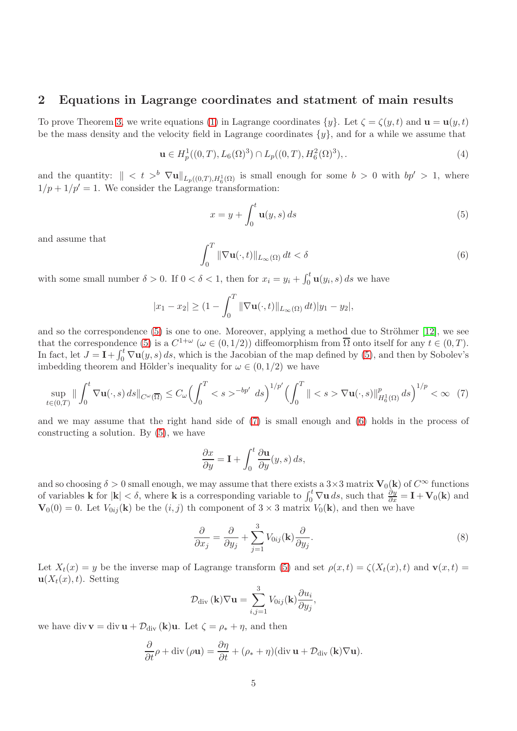#### 2 Equations in Lagrange coordinates and statment of main results

To prove Theorem [3,](#page-2-0) we write equations [\(1\)](#page-1-1) in Lagrange coordinates  $\{y\}$ . Let  $\zeta = \zeta(y, t)$  and  $\mathbf{u} = \mathbf{u}(y, t)$ be the mass density and the velocity field in Lagrange coordinates  $\{y\}$ , and for a while we assume that

$$
\mathbf{u} \in H_p^1((0,T), L_6(\Omega)^3) \cap L_p((0,T), H_6^2(\Omega)^3),\tag{4}
$$

and the quantity:  $\| < t >^b \nabla \mathbf{u} \|_{L_p((0,T),H_6^1(\Omega))}$  is small enough for some  $b > 0$  with  $bp' > 1$ , where  $1/p + 1/p' = 1$ . We consider the Lagrange transformation:

<span id="page-4-0"></span>
$$
x = y + \int_0^t \mathbf{u}(y, s) ds
$$
 (5)

and assume that

<span id="page-4-2"></span>
$$
\int_0^T \|\nabla \mathbf{u}(\cdot, t)\|_{L_\infty(\Omega)} dt < \delta \tag{6}
$$

with some small number  $\delta > 0$ . If  $0 < \delta < 1$ , then for  $x_i = y_i + \int_0^t \mathbf{u}(y_i, s) ds$  we have

$$
|x_1 - x_2| \ge (1 - \int_0^T \|\nabla \mathbf{u}(\cdot, t)\|_{L_\infty(\Omega)} dt)|y_1 - y_2|,
$$

and so the correspondence  $(5)$  is one to one. Moreover, applying a method due to Ströhmer [\[12\]](#page-24-6), we see that the correspondence [\(5\)](#page-4-0) is a  $C^{1+\omega}$  ( $\omega \in (0,1/2)$ ) diffeomorphism from  $\overline{\Omega}$  onto itself for any  $t \in (0,T)$ . In fact, let  $J = I + \int_0^t \nabla \mathbf{u}(y, s) ds$ , which is the Jacobian of the map defined by [\(5\)](#page-4-0), and then by Sobolev's imbedding theorem and Hölder's inequality for  $\omega \in (0, 1/2)$  we have

<span id="page-4-1"></span>
$$
\sup_{t\in(0,T)}\|\int_0^t \nabla \mathbf{u}(\cdot,s) \, ds\|_{C^{\omega}(\overline{\Omega})} \leq C_{\omega} \Big(\int_0^T \langle s \rangle^{1/p'} \, ds\Big)^{1/p'} \Big(\int_0^T \|\langle s \rangle \nabla \mathbf{u}(\cdot,s)\|_{H_6^1(\Omega)}^p \, ds\Big)^{1/p} \langle \infty \quad (7)
$$

and we may assume that the right hand side of [\(7\)](#page-4-1) is small enough and [\(6\)](#page-4-2) holds in the process of constructing a solution. By [\(5\)](#page-4-0), we have

$$
\frac{\partial x}{\partial y} = \mathbf{I} + \int_0^t \frac{\partial \mathbf{u}}{\partial y}(y, s) ds,
$$

and so choosing  $\delta > 0$  small enough, we may assume that there exists a  $3 \times 3$  matrix  $V_0(k)$  of  $C^{\infty}$  functions of variables **k** for  $|\mathbf{k}| < \delta$ , where **k** is a corresponding variable to  $\int_0^t \nabla \mathbf{u} ds$ , such that  $\frac{\partial y}{\partial x} = \mathbf{I} + \mathbf{V}_0(\mathbf{k})$  and  $\mathbf{V}_0(0) = 0$ . Let  $V_{0ij}(\mathbf{k})$  be the  $(i, j)$  th component of  $3 \times 3$  matrix  $V_0(\mathbf{k})$ , and then we have

$$
\frac{\partial}{\partial x_j} = \frac{\partial}{\partial y_j} + \sum_{j=1}^3 V_{0ij}(\mathbf{k}) \frac{\partial}{\partial y_j}.
$$
\n(8)

Let  $X_t(x) = y$  be the inverse map of Lagrange transform [\(5\)](#page-4-0) and set  $\rho(x, t) = \zeta(X_t(x), t)$  and  $\mathbf{v}(x, t) =$  $\mathbf{u}(X_t(x), t)$ . Setting

$$
\mathcal{D}_{\text{div}}(\mathbf{k})\nabla\mathbf{u} = \sum_{i,j=1}^{3} V_{0ij}(\mathbf{k})\frac{\partial u_i}{\partial y_j},
$$

we have div  $\mathbf{v} = \text{div} \, \mathbf{u} + \mathcal{D}_{\text{div}}(\mathbf{k})\mathbf{u}$ . Let  $\zeta = \rho_* + \eta$ , and then

$$
\frac{\partial}{\partial t}\rho + \text{div}(\rho \mathbf{u}) = \frac{\partial \eta}{\partial t} + (\rho_* + \eta)(\text{div}\,\mathbf{u} + \mathcal{D}_{\text{div}}(\mathbf{k})\nabla \mathbf{u}).
$$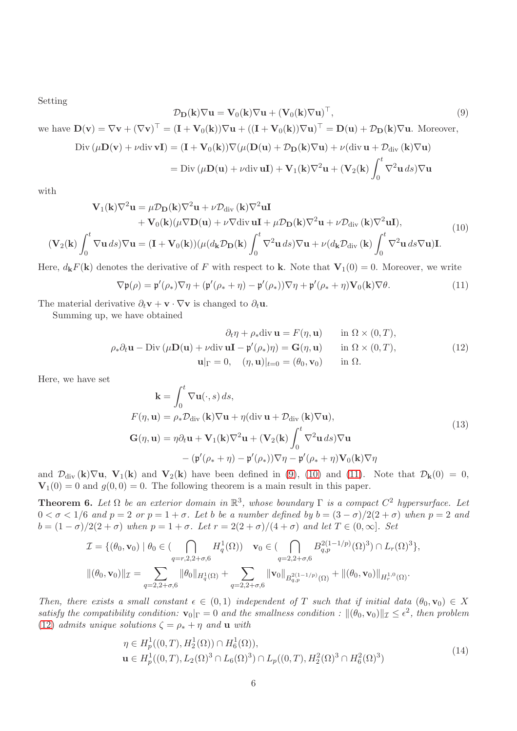Setting

<span id="page-5-0"></span>
$$
\mathcal{D}_{\mathbf{D}}(\mathbf{k})\nabla \mathbf{u} = \mathbf{V}_0(\mathbf{k})\nabla \mathbf{u} + (\mathbf{V}_0(\mathbf{k})\nabla \mathbf{u})^\top,
$$
\n(9)

we have 
$$
\mathbf{D}(\mathbf{v}) = \nabla \mathbf{v} + (\nabla \mathbf{v})^{\top} = (\mathbf{I} + \mathbf{V}_0(\mathbf{k})) \nabla \mathbf{u} + ((\mathbf{I} + \mathbf{V}_0(\mathbf{k})) \nabla \mathbf{u})^{\top} = \mathbf{D}(\mathbf{u}) + \mathcal{D}_{\mathbf{D}}(\mathbf{k}) \nabla \mathbf{u}
$$
. Moreover,  
\nDiv  $(\mu \mathbf{D}(\mathbf{v}) + \nu \text{div } \mathbf{v} \mathbf{I}) = (\mathbf{I} + \mathbf{V}_0(\mathbf{k})) \nabla (\mu (\mathbf{D}(\mathbf{u}) + \mathcal{D}_{\mathbf{D}}(\mathbf{k}) \nabla \mathbf{u}) + \nu (\text{div } \mathbf{u} + \mathcal{D}_{\text{div}}(\mathbf{k}) \nabla \mathbf{u})$ 

= Div 
$$
(\mu \mathbf{D}(\mathbf{u}) + \nu \text{div } \mathbf{u}\mathbf{I}) + \mathbf{V}_1(\mathbf{k})\nabla^2\mathbf{u} + (\mathbf{V}_2(\mathbf{k})\int_0^t \nabla^2\mathbf{u} ds)\nabla\mathbf{u}
$$

with

<span id="page-5-1"></span>
$$
\mathbf{V}_{1}(\mathbf{k})\nabla^{2}\mathbf{u} = \mu\mathcal{D}_{\mathbf{D}}(\mathbf{k})\nabla^{2}\mathbf{u} + \nu\mathcal{D}_{\text{div}}(\mathbf{k})\nabla^{2}\mathbf{u}\mathbf{I} \n+ \mathbf{V}_{0}(\mathbf{k})(\mu\nabla\mathbf{D}(\mathbf{u}) + \nu\nabla\text{div}\mathbf{u}\mathbf{I} + \mu\mathcal{D}_{\mathbf{D}}(\mathbf{k})\nabla^{2}\mathbf{u} + \nu\mathcal{D}_{\text{div}}(\mathbf{k})\nabla^{2}\mathbf{u}\mathbf{I}),
$$
\n
$$
(\mathbf{V}_{2}(\mathbf{k})\int_{0}^{t} \nabla\mathbf{u} ds)\nabla\mathbf{u} = (\mathbf{I} + \mathbf{V}_{0}(\mathbf{k}))(\mu(d_{\mathbf{k}}\mathcal{D}_{\mathbf{D}}(\mathbf{k}))\int_{0}^{t} \nabla^{2}\mathbf{u} ds)\nabla\mathbf{u} + \nu(d_{\mathbf{k}}\mathcal{D}_{\text{div}}(\mathbf{k}))\int_{0}^{t} \nabla^{2}\mathbf{u} ds\nabla\mathbf{u})\mathbf{I}.
$$
\n(10)

Here,  $d_{\mathbf{k}}F(\mathbf{k})$  denotes the derivative of F with respect to k. Note that  $\mathbf{V}_1(0) = 0$ . Moreover, we write

<span id="page-5-2"></span>
$$
\nabla \mathfrak{p}(\rho) = \mathfrak{p}'(\rho_*) \nabla \eta + (\mathfrak{p}'(\rho_* + \eta) - \mathfrak{p}'(\rho_*)) \nabla \eta + \mathfrak{p}'(\rho_* + \eta) \mathbf{V}_0(\mathbf{k}) \nabla \theta.
$$
 (11)

The material derivative  $\partial_t \mathbf{v} + \mathbf{v} \cdot \nabla \mathbf{v}$  is changed to  $\partial_t \mathbf{u}$ .

Summing up, we have obtained

<span id="page-5-3"></span>
$$
\partial_t \eta + \rho_* \text{div } \mathbf{u} = F(\eta, \mathbf{u}) \quad \text{in } \Omega \times (0, T),
$$
  
\n
$$
\rho_* \partial_t \mathbf{u} - \text{Div } (\mu \mathbf{D}(\mathbf{u}) + \nu \text{div } \mathbf{u} \mathbf{I} - \mathfrak{p}'(\rho_*) \eta) = \mathbf{G}(\eta, \mathbf{u}) \quad \text{in } \Omega \times (0, T),
$$
  
\n
$$
\mathbf{u}|_{\Gamma} = 0, \quad (\eta, \mathbf{u})|_{t=0} = (\theta_0, \mathbf{v}_0) \quad \text{in } \Omega.
$$
 (12)

Here, we have set

$$
\mathbf{k} = \int_0^t \nabla \mathbf{u}(\cdot, s) ds,
$$
  
\n
$$
F(\eta, \mathbf{u}) = \rho_* \mathcal{D}_{div}(\mathbf{k}) \nabla \mathbf{u} + \eta (\text{div } \mathbf{u} + \mathcal{D}_{div}(\mathbf{k}) \nabla \mathbf{u}),
$$
  
\n
$$
\mathbf{G}(\eta, \mathbf{u}) = \eta \partial_t \mathbf{u} + \mathbf{V}_1(\mathbf{k}) \nabla^2 \mathbf{u} + (\mathbf{V}_2(\mathbf{k}) \int_0^t \nabla^2 \mathbf{u} ds) \nabla \mathbf{u}
$$
  
\n
$$
- (\mathbf{p}'(\rho_* + \eta) - \mathbf{p}'(\rho_*)) \nabla \eta - \mathbf{p}'(\rho_* + \eta) \mathbf{V}_0(\mathbf{k}) \nabla \eta
$$
\n(13)

and  $\mathcal{D}_{div}(\mathbf{k})\nabla\mathbf{u}$ ,  $\mathbf{V}_1(\mathbf{k})$  and  $\mathbf{V}_2(\mathbf{k})$  have been defined in [\(9\)](#page-5-0), [\(10\)](#page-5-1) and [\(11\)](#page-5-2). Note that  $\mathcal{D}_{\mathbf{k}}(0) = 0$ ,  $\mathbf{V}_1(0) = 0$  and  $g(0,0) = 0$ . The following theorem is a main result in this paper.

<span id="page-5-4"></span>**Theorem 6.** Let  $\Omega$  be an exterior domain in  $\mathbb{R}^3$ , whose boundary  $\Gamma$  is a compact  $C^2$  hypersurface. Let  $0 < \sigma < 1/6$  and  $p = 2$  or  $p = 1 + \sigma$ . Let b be a number defined by  $b = (3 - \sigma)/2(2 + \sigma)$  when  $p = 2$  and  $b = (1 - \sigma)/2(2 + \sigma)$  when  $p = 1 + \sigma$ . Let  $r = 2(2 + \sigma)/(4 + \sigma)$  and let  $T \in (0, \infty]$ . Set

$$
\mathcal{I} = \{(\theta_0, \mathbf{v}_0) \mid \theta_0 \in (\bigcap_{q=r,2,2+\sigma,6} H_q^1(\Omega)) \quad \mathbf{v}_0 \in (\bigcap_{q=2,2+\sigma,6} B_{q,p}^{2(1-1/p)}(\Omega)^3) \cap L_r(\Omega)^3\},
$$

$$
\|(\theta_0, \mathbf{v}_0)\|_{\mathcal{I}} = \sum_{q=2,2+\sigma,6} \|\theta_0\|_{H_q^1(\Omega)} + \sum_{q=2,2+\sigma,6} \|\mathbf{v}_0\|_{B_{q,p}^{2(1-1/p)}(\Omega)} + \|(\theta_0, \mathbf{v}_0)\|_{H_r^{1,0}(\Omega)}.
$$

Then, there exists a small constant  $\epsilon \in (0,1)$  independent of T such that if initial data  $(\theta_0, \mathbf{v}_0) \in X$ satisfy the compatibility condition:  $\mathbf{v}_0|_{\Gamma} = 0$  and the smallness condition :  $\|(\theta_0, \mathbf{v}_0)\|_{\mathcal{I}} \leq \epsilon^2$ , then problem [\(12\)](#page-5-3) admits unique solutions  $\zeta = \rho_* + \eta$  and **u** with

$$
\eta \in H_p^1((0,T), H_2^1(\Omega)) \cap H_6^1(\Omega)),
$$
  
\n
$$
\mathbf{u} \in H_p^1((0,T), L_2(\Omega)^3 \cap L_6(\Omega)^3) \cap L_p((0,T), H_2^2(\Omega)^3 \cap H_6^2(\Omega)^3)
$$
\n(14)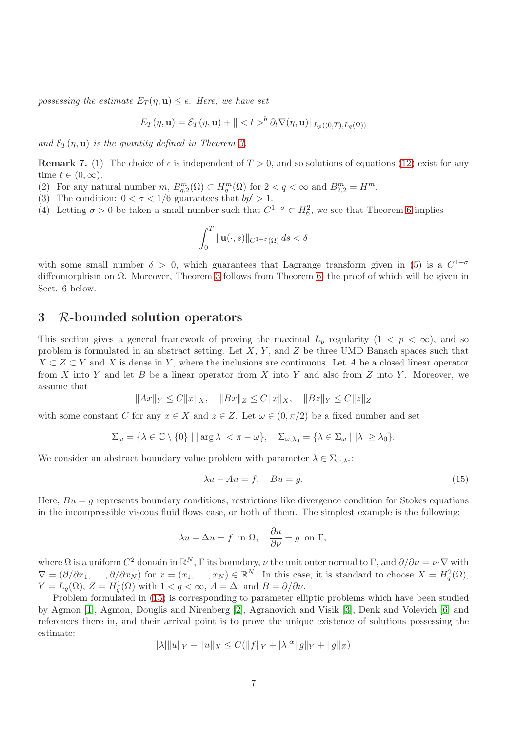possessing the estimate  $E_T(\eta, \mathbf{u}) \leq \epsilon$ . Here, we have set

$$
E_T(\eta, \mathbf{u}) = \mathcal{E}_T(\eta, \mathbf{u}) + || < t >^b \partial_t \nabla(\eta, \mathbf{u}) ||_{L_p((0,T), L_q(\Omega))}
$$

and  $\mathcal{E}_T(\eta, \mathbf{u})$  is the quantity defined in Theorem [3.](#page-2-0)

**Remark 7.** (1) The choice of  $\epsilon$  is independent of  $T > 0$ , and so solutions of equations [\(12\)](#page-5-3) exist for any time  $t \in (0, \infty)$ .

(2) For any natural number  $m, B_{q,2}^m(\Omega) \subset H_q^m(\Omega)$  for  $2 < q < \infty$  and  $B_{2,2}^m = H^m$ .

- (3) The condition:  $0 < \sigma < 1/6$  guarantees that  $bp' > 1$ .
- (4) Letting  $\sigma > 0$  be taken a small number such that  $C^{1+\sigma} \subset H_6^2$ , we see that Theorem [6](#page-5-4) implies

$$
\int_0^T \|\mathbf{u}(\cdot,s)\|_{C^{1+\sigma}(\Omega)} ds < \delta
$$

with some small number  $\delta > 0$ , which guarantees that Lagrange transform given in [\(5\)](#page-4-0) is a  $C^{1+\sigma}$ diffeomorphism on Ω. Moreover, Theorem [3](#page-2-0) follows from Theorem [6,](#page-5-4) the proof of which will be given in Sect. 6 below.

#### 3 R-bounded solution operators

This section gives a general framework of proving the maximal  $L_p$  regularity  $(1 \lt p \lt \infty)$ , and so problem is formulated in an abstract setting. Let  $X, Y$ , and  $Z$  be three UMD Banach spaces such that  $X \subset Z \subset Y$  and X is dense in Y, where the inclusions are continuous. Let A be a closed linear operator from X into Y and let B be a linear operator from X into Y and also from Z into Y. Moreover, we assume that

$$
||Ax||_Y \le C||x||_X, \quad ||Bx||_Z \le C||x||_X, \quad ||Bz||_Y \le C||z||_Z
$$

with some constant C for any  $x \in X$  and  $z \in Z$ . Let  $\omega \in (0, \pi/2)$  be a fixed number and set

$$
\Sigma_{\omega} = \{\lambda \in \mathbb{C} \setminus \{0\} \mid |\arg \lambda| < \pi - \omega\}, \quad \Sigma_{\omega, \lambda_0} = \{\lambda \in \Sigma_{\omega} \mid |\lambda| \ge \lambda_0\}.
$$

We consider an abstract boundary value problem with parameter  $\lambda \in \Sigma_{\omega,\lambda_0}$ :

<span id="page-6-0"></span>
$$
\lambda u - Au = f, \quad Bu = g. \tag{15}
$$

Here,  $Bu = g$  represents boundary conditions, restrictions like divergence condition for Stokes equations in the incompressible viscous fluid flows case, or both of them. The simplest example is the following:

$$
\lambda u - \Delta u = f \text{ in } \Omega, \quad \frac{\partial u}{\partial \nu} = g \text{ on } \Gamma,
$$

where  $\Omega$  is a uniform  $C^2$  domain in  $\mathbb{R}^N$ ,  $\Gamma$  its boundary,  $\nu$  the unit outer normal to  $\Gamma$ , and  $\partial/\partial \nu = \nu \cdot \nabla$  with  $\nabla = (\partial/\partial x_1,\ldots,\partial/\partial x_N)$  for  $x = (x_1,\ldots,x_N) \in \mathbb{R}^N$ . In this case, it is standard to choose  $X = H_q^2(\Omega)$ ,  $Y = L_q(\Omega)$ ,  $Z = H_q^1(\Omega)$  with  $1 < q < \infty$ ,  $A = \Delta$ , and  $B = \partial/\partial \nu$ .

Problem formulated in [\(15\)](#page-6-0) is corresponding to parameter elliptic problems which have been studied by Agmon [\[1\]](#page-24-7), Agmon, Douglis and Nirenberg [\[2\]](#page-24-8), Agranovich and Visik [\[3\]](#page-24-9), Denk and Volevich [\[6\]](#page-24-10) and references there in, and their arrival point is to prove the unique existence of solutions possessing the estimate:

$$
|\lambda| \|u\|_Y + \|u\|_X \leq C(\|f\|_Y + |\lambda|^{\alpha} \|g\|_Y + \|g\|_Z)
$$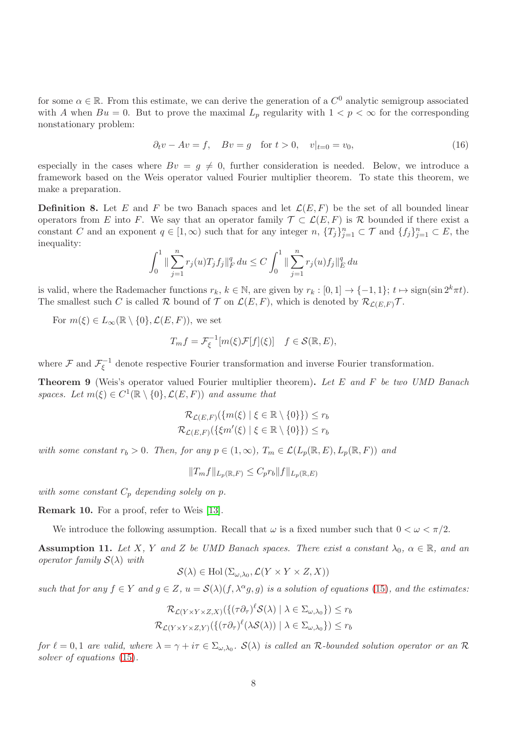for some  $\alpha \in \mathbb{R}$ . From this estimate, we can derive the generation of a  $C^0$  analytic semigroup associated with A when  $Bu = 0$ . But to prove the maximal  $L_p$  regularity with  $1 < p < \infty$  for the corresponding nonstationary problem:

$$
\partial_t v - Av = f, \quad Bv = g \quad \text{for } t > 0, \quad v|_{t=0} = v_0,
$$
\n(16)

especially in the cases where  $Bv = g \neq 0$ , further consideration is needed. Below, we introduce a framework based on the Weis operator valued Fourier multiplier theorem. To state this theorem, we make a preparation.

**Definition 8.** Let E and F be two Banach spaces and let  $\mathcal{L}(E, F)$  be the set of all bounded linear operators from E into F. We say that an operator family  $\mathcal{T} \subset \mathcal{L}(E, F)$  is R bounded if there exist a constant C and an exponent  $q \in [1,\infty)$  such that for any integer  $n$ ,  $\{T_j\}_{j=1}^n \subset \mathcal{T}$  and  $\{f_j\}_{j=1}^n \subset E$ , the inequality:

$$
\int_0^1 \|\sum_{j=1}^n r_j(u)T_jf_j\|_F^q du \le C \int_0^1 \|\sum_{j=1}^n r_j(u)f_j\|_E^q du
$$

is valid, where the Rademacher functions  $r_k, k \in \mathbb{N}$ , are given by  $r_k : [0, 1] \to \{-1, 1\}; t \mapsto \text{sign}(\sin 2^k \pi t)$ . The smallest such C is called R bound of T on  $\mathcal{L}(E, F)$ , which is denoted by  $\mathcal{R}_{\mathcal{L}(E, F)}$ T.

For  $m(\xi) \in L_{\infty}(\mathbb{R} \setminus \{0\}, \mathcal{L}(E, F))$ , we set

$$
T_m f = \mathcal{F}_{\xi}^{-1}[m(\xi)\mathcal{F}[f](\xi)] \quad f \in \mathcal{S}(\mathbb{R}, E),
$$

where  $\mathcal{F}$  and  $\mathcal{F}_{\varepsilon}^{-1}$  $\zeta^{-1}$  denote respective Fourier transformation and inverse Fourier transformation.

Theorem 9 (Weis's operator valued Fourier multiplier theorem). Let E and F be two UMD Banach spaces. Let  $m(\xi) \in C^1(\mathbb{R} \setminus \{0\}, \mathcal{L}(E, F))$  and assume that

$$
\mathcal{R}_{\mathcal{L}(E,F)}(\{m(\xi) \mid \xi \in \mathbb{R} \setminus \{0\}\}) \le r_b
$$
  

$$
\mathcal{R}_{\mathcal{L}(E,F)}(\{\xi m'(\xi) \mid \xi \in \mathbb{R} \setminus \{0\}\}) \le r_b
$$

with some constant  $r_b > 0$ . Then, for any  $p \in (1,\infty)$ ,  $T_m \in \mathcal{L}(L_p(\mathbb{R},E), L_p(\mathbb{R},F))$  and

$$
||T_m f||_{L_p(\mathbb{R},F)} \leq C_p r_b ||f||_{L_p(\mathbb{R},E)}
$$

with some constant  $C_p$  depending solely on p.

Remark 10. For a proof, refer to Weis [\[13\]](#page-24-11).

We introduce the following assumption. Recall that  $\omega$  is a fixed number such that  $0 < \omega < \pi/2$ .

<span id="page-7-0"></span>**Assumption 11.** Let X, Y and Z be UMD Banach spaces. There exist a constant  $\lambda_0$ ,  $\alpha \in \mathbb{R}$ , and an operator family  $\mathcal{S}(\lambda)$  with

$$
\mathcal{S}(\lambda) \in \text{Hol}\left(\Sigma_{\omega,\lambda_0}, \mathcal{L}(Y \times Y \times Z, X)\right)
$$

such that for any  $f \in Y$  and  $g \in Z$ ,  $u = \mathcal{S}(\lambda)(f, \lambda^{\alpha}g, g)$  is a solution of equations [\(15\)](#page-6-0), and the estimates:

$$
\mathcal{R}_{\mathcal{L}(Y \times Y \times Z, X)}(\{(\tau \partial_{\tau})^{\ell} \mathcal{S}(\lambda) \mid \lambda \in \Sigma_{\omega, \lambda_0}\}) \le r_b
$$
  

$$
\mathcal{R}_{\mathcal{L}(Y \times Y \times Z, Y)}(\{(\tau \partial_{\tau})^{\ell}(\lambda \mathcal{S}(\lambda)) \mid \lambda \in \Sigma_{\omega, \lambda_0}\}) \le r_b
$$

for  $\ell = 0, 1$  are valid, where  $\lambda = \gamma + i\tau \in \Sigma_{\omega, \lambda_0}$ .  $\mathcal{S}(\lambda)$  is called an R-bounded solution operator or an R solver of equations  $(15)$ .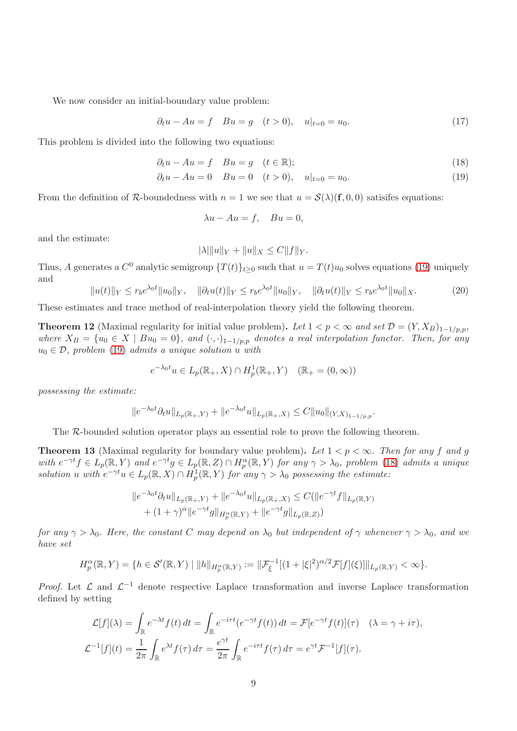We now consider an initial-boundary value problem:

$$
\partial_t u - Au = f \quad Bu = g \quad (t > 0), \quad u|_{t=0} = u_0. \tag{17}
$$

This problem is divided into the following two equations:

$$
\partial_t u - Au = f \quad Bu = g \quad (t \in \mathbb{R});\tag{18}
$$

$$
\partial_t u - Au = 0 \quad Bu = 0 \quad (t > 0), \quad u|_{t=0} = u_0. \tag{19}
$$

From the definition of R-boundedness with  $n = 1$  we see that  $u = \mathcal{S}(\lambda)(\mathbf{f}, 0, 0)$  satisifes equations:

<span id="page-8-1"></span><span id="page-8-0"></span>
$$
\lambda u - Au = f, \quad Bu = 0,
$$

and the estimate:

$$
|\lambda| \|u\|_Y + \|u\|_X \le C \|f\|_Y.
$$

Thus, A generates a  $C^0$  analytic semigroup  $\{T(t)\}_{t\geq 0}$  such that  $u = T(t)u_0$  solves equations [\(19\)](#page-8-0) uniquely and

<span id="page-8-2"></span>
$$
||u(t)||_Y \le r_b e^{\lambda_0 t} ||u_0||_Y, \quad ||\partial_t u(t)||_Y \le r_b e^{\lambda_0 t} ||u_0||_Y, \quad ||\partial_t u(t)||_Y \le r_b e^{\lambda_0 t} ||u_0||_X. \tag{20}
$$

These estimates and trace method of real-interpolation theory yield the following theorem.

<span id="page-8-3"></span>**Theorem 12** (Maximal regularity for initial value problem). Let  $1 < p < \infty$  and set  $\mathcal{D} = (Y, X_B)_{1-\frac{1}{p},p}$ , where  $X_B = \{u_0 \in X \mid Bu_0 = 0\}$ , and  $(\cdot, \cdot)_{1-1/p,p}$  denotes a real interpolation functor. Then, for any  $u_0 \in \mathcal{D}$ , problem [\(19\)](#page-8-0) admits a unique solution u with

$$
e^{-\lambda_0 t} u \in L_p(\mathbb{R}_+, X) \cap H^1_p(\mathbb{R}_+, Y) \quad (\mathbb{R}_+ = (0, \infty))
$$

possessing the estimate:

$$
||e^{-\lambda_0 t} \partial_t u||_{L_p(\mathbb{R}_+,Y)} + ||e^{-\lambda_0 t} u||_{L_p(\mathbb{R}_+,X)} \leq C ||u_0||_{(Y,X)_{1-1/p,p}}.
$$

The R-bounded solution operator plays an essential role to prove the following theorem.

**Theorem 13** (Maximal regularity for boundary value problem). Let  $1 < p < \infty$ . Then for any f and g with  $e^{-\gamma t} f \in L_p(\mathbb{R}, Y)$  and  $e^{-\gamma t} g \in L_p(\mathbb{R}, Z) \cap H_p^{\alpha}(\mathbb{R}, Y)$  for any  $\gamma > \lambda_0$ , problem [\(18\)](#page-8-1) admits a unique solution u with  $e^{-\gamma t}u \in L_p(\mathbb{R}, X) \cap H_p^1(\mathbb{R}, Y)$  for any  $\gamma > \lambda_0$  possessing the estimate:

$$
||e^{-\lambda_0 t} \partial_t u||_{L_p(\mathbb{R}_+, Y)} + ||e^{-\lambda_0 t} u||_{L_p(\mathbb{R}_+, X)} \leq C(||e^{-\gamma t} f||_{L_p(\mathbb{R}, Y)} + (1+\gamma)^{\alpha} ||e^{-\gamma t} g||_{H_p(\mathbb{R}, Y)} + ||e^{-\gamma t} g||_{L_p(\mathbb{R}, Z)})
$$

for any  $\gamma > \lambda_0$ . Here, the constant C may depend on  $\lambda_0$  but independent of  $\gamma$  whenever  $\gamma > \lambda_0$ , and we have set

$$
H_p^{\alpha}(\mathbb{R}, Y) = \{ h \in \mathcal{S}'(\mathbb{R}, Y) \mid \|h\|_{H_p^{\alpha}(\mathbb{R}, Y)} := \|\mathcal{F}_{\xi}^{-1}[(1 + |\xi|^2)^{\alpha/2} \mathcal{F}[f](\xi)]\|_{L_p(\mathbb{R}, Y)} < \infty \}.
$$

*Proof.* Let  $\mathcal{L}$  and  $\mathcal{L}^{-1}$  denote respective Laplace transformation and inverse Laplace transformation defined by setting

$$
\mathcal{L}[f](\lambda) = \int_{\mathbb{R}} e^{-\lambda t} f(t) dt = \int_{\mathbb{R}} e^{-i\tau t} (e^{-\gamma t} f(t)) dt = \mathcal{F}[e^{-\gamma t} f(t)](\tau) \quad (\lambda = \gamma + i\tau),
$$
  

$$
\mathcal{L}^{-1}[f](t) = \frac{1}{2\pi} \int_{\mathbb{R}} e^{\lambda t} f(\tau) d\tau = \frac{e^{\gamma t}}{2\pi} \int_{\mathbb{R}} e^{-i\tau t} f(\tau) d\tau = e^{\gamma t} \mathcal{F}^{-1}[f](\tau).
$$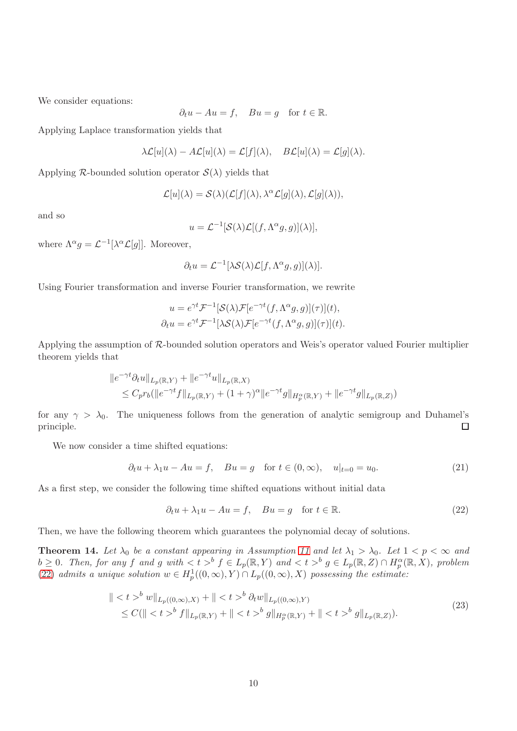We consider equations:

$$
\partial_t u - Au = f, \quad Bu = g \quad \text{for } t \in \mathbb{R}.
$$

Applying Laplace transformation yields that

$$
\lambda \mathcal{L}[u](\lambda) - A\mathcal{L}[u](\lambda) = \mathcal{L}[f](\lambda), \quad B\mathcal{L}[u](\lambda) = \mathcal{L}[g](\lambda).
$$

Applying  $\mathcal R$ -bounded solution operator  $\mathcal S(\lambda)$  yields that

$$
\mathcal{L}[u](\lambda) = \mathcal{S}(\lambda)(\mathcal{L}[f](\lambda), \lambda^{\alpha} \mathcal{L}[g](\lambda), \mathcal{L}[g](\lambda)),
$$

and so

$$
u = \mathcal{L}^{-1}[\mathcal{S}(\lambda)\mathcal{L}[(f, \Lambda^{\alpha}g, g)](\lambda)],
$$

where  $\Lambda^{\alpha} g = \mathcal{L}^{-1} [\lambda^{\alpha} \mathcal{L}[g]]$ . Moreover,

$$
\partial_t u = \mathcal{L}^{-1}[\lambda \mathcal{S}(\lambda) \mathcal{L}[f, \Lambda^\alpha g, g)](\lambda)].
$$

Using Fourier transformation and inverse Fourier transformation, we rewrite

$$
u = e^{\gamma t} \mathcal{F}^{-1} [\mathcal{S}(\lambda) \mathcal{F} [e^{-\gamma t} (f, \Lambda^{\alpha} g, g)](\tau)](t),
$$
  
\n
$$
\partial_t u = e^{\gamma t} \mathcal{F}^{-1} [\lambda \mathcal{S}(\lambda) \mathcal{F} [e^{-\gamma t} (f, \Lambda^{\alpha} g, g)](\tau)](t).
$$

Applying the assumption of  $R$ -bounded solution operators and Weis's operator valued Fourier multiplier theorem yields that

$$
||e^{-\gamma t} \partial_t u||_{L_p(\mathbb{R},Y)} + ||e^{-\gamma t} u||_{L_p(\mathbb{R},X)}
$$
  
\n
$$
\leq C_p r_b(||e^{-\gamma t} f||_{L_p(\mathbb{R},Y)} + (1+\gamma)^{\alpha} ||e^{-\gamma t} g||_{H_p^{\alpha}(\mathbb{R},Y)} + ||e^{-\gamma t} g||_{L_p(\mathbb{R},Z)})
$$

for any  $\gamma > \lambda_0$ . The uniqueness follows from the generation of analytic semigroup and Duhamel's principle.  $\Box$ 

We now consider a time shifted equations:

<span id="page-9-2"></span>
$$
\partial_t u + \lambda_1 u - Au = f, \quad Bu = g \quad \text{for } t \in (0, \infty), \quad u|_{t=0} = u_0. \tag{21}
$$

As a first step, we consider the following time shifted equations without initial data

<span id="page-9-0"></span>
$$
\partial_t u + \lambda_1 u - Au = f, \quad Bu = g \quad \text{for } t \in \mathbb{R}.
$$
\n(22)

Then, we have the following theorem which guarantees the polynomial decay of solutions.

<span id="page-9-1"></span>**Theorem 14.** Let  $\lambda_0$  be a constant appearing in Assumption [11](#page-7-0) and let  $\lambda_1 > \lambda_0$ . Let  $1 < p < \infty$  and  $b \geq 0$ . Then, for any f and g with  $\lt t >^b f \in L_p(\mathbb{R}, Y)$  and  $\lt t >^b g \in L_p(\mathbb{R}, Z) \cap H_p^{\alpha}(\mathbb{R}, X)$ , problem [\(22\)](#page-9-0) admits a unique solution  $w \in H_p^1((0,\infty), Y) \cap L_p((0,\infty), X)$  possessing the estimate:

<span id="page-9-3"></span>
$$
\| ^{b} w \|_{L_{p}((0,\infty),X)} + \| ^{b} \partial_{t} w \|_{L_{p}((0,\infty),Y)}
$$
  
\n
$$
\leq C(\| ^{b} f \|_{L_{p}(\mathbb{R},Y)} + \| ^{b} g \|_{H_{p}^{\alpha}(\mathbb{R},Y)} + \| ^{b} g \|_{L_{p}(\mathbb{R},Z)}).
$$
\n(23)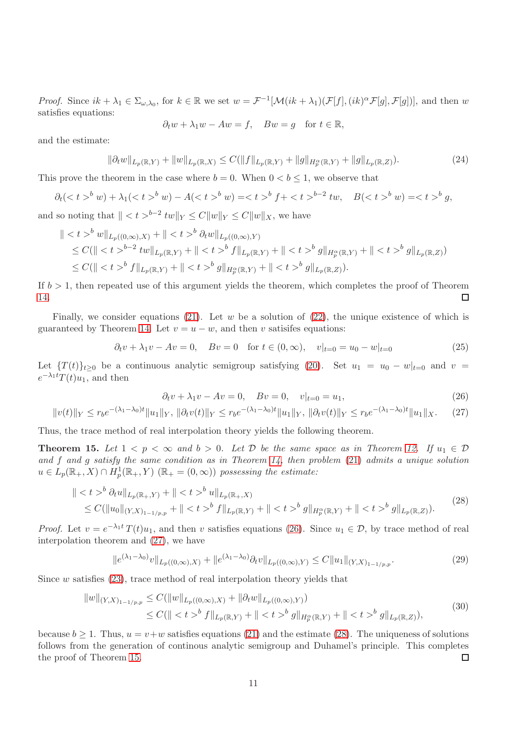*Proof.* Since  $ik + \lambda_1 \in \Sigma_{\omega,\lambda_0}$ , for  $k \in \mathbb{R}$  we set  $w = \mathcal{F}^{-1}[\mathcal{M}(ik + \lambda_1)(\mathcal{F}[f], (ik)^{\alpha} \mathcal{F}[g], \mathcal{F}[g])]$ , and then w satisfies equations:

$$
\partial_t w + \lambda_1 w - Aw = f, \quad Bw = g \quad \text{for } t \in \mathbb{R},
$$

and the estimate:

$$
\|\partial_t w\|_{L_p(\mathbb{R},Y)} + \|w\|_{L_p(\mathbb{R},X)} \le C(\|f\|_{L_p(\mathbb{R},Y)} + \|g\|_{H_p^{\alpha}(\mathbb{R},Y)} + \|g\|_{L_p(\mathbb{R},Z)}). \tag{24}
$$

This prove the theorem in the case where  $b = 0$ . When  $0 < b \le 1$ , we observe that

$$
\partial_t (^b w)+\lambda_1(^b w)-A(^b w)=^b f+^{b-2} tw, \quad B(^b w)=^b g,
$$

and so noting that  $|| < t > b^{-2}$   $tw||_Y \leq C||w||_Y \leq C||w||_X$ , we have

$$
\| ^{b} w \|_{L_{p}((0,\infty),X)} + \| ^{b} \partial_{t} w \|_{L_{p}((0,\infty),Y)}
$$
  
\n
$$
\leq C(\| ^{b-2} w \|_{L_{p}(\mathbb{R},Y)} + \| ^{b} f \|_{L_{p}(\mathbb{R},Y)} + \| ^{b} g \|_{H_{p}^{\alpha}(\mathbb{R},Y)} + \| ^{b} g \|_{L_{p}(\mathbb{R},Z)}
$$
  
\n
$$
\leq C(\| ^{b} f \|_{L_{p}(\mathbb{R},Y)} + \| ^{b} g \|_{H_{p}^{\alpha}(\mathbb{R},Y)} + \| ^{b} g \|_{L_{p}(\mathbb{R},Z)}).
$$

If  $b > 1$ , then repeated use of this argument yields the theorem, which completes the proof of Theorem [14.](#page-9-1)  $\Box$ 

Finally, we consider equations  $(21)$ . Let w be a solution of  $(22)$ , the unique existence of which is guaranteed by Theorem [14.](#page-9-1) Let  $v = u - w$ , and then v satisfies equations:

$$
\partial_t v + \lambda_1 v - Av = 0, \quad Bv = 0 \quad \text{for } t \in (0, \infty), \quad v|_{t=0} = u_0 - w|_{t=0}
$$
 (25)

Let  $\{T(t)\}_{t\geq0}$  be a continuous analytic semigroup satisfying [\(20\)](#page-8-2). Set  $u_1 = u_0 - w|_{t=0}$  and  $v =$  $e^{-\lambda_1 t}T(t)u_1$ , and then

<span id="page-10-1"></span><span id="page-10-0"></span>
$$
\partial_t v + \lambda_1 v - Av = 0, \quad Bv = 0, \quad v|_{t=0} = u_1,\tag{26}
$$

$$
||v(t)||_Y \le r_b e^{-(\lambda_1 - \lambda_0)t} ||u_1||_Y, ||\partial_t v(t)||_Y \le r_b e^{-(\lambda_1 - \lambda_0)t} ||u_1||_Y, ||\partial_t v(t)||_Y \le r_b e^{-(\lambda_1 - \lambda_0)t} ||u_1||_X. \tag{27}
$$

Thus, the trace method of real interpolation theory yields the following theorem.

<span id="page-10-3"></span>**Theorem 15.** Let  $1 < p < \infty$  and  $b > 0$ . Let D be the same space as in Theorem [12.](#page-8-3) If  $u_1 \in \mathcal{D}$ and f and g satisfy the same condition as in Theorem [14,](#page-9-1) then problem [\(21\)](#page-9-2) admits a unique solution  $u \in L_p(\mathbb{R}_+, X) \cap H^1_p(\mathbb{R}_+, Y)$   $(\mathbb{R}_+ = (0, \infty))$  possessing the estimate:

<span id="page-10-2"></span>
$$
\| ^{b} \partial_{t} u \|_{L_{p}(\mathbb{R}_{+},Y)} + \| ^{b} u \|_{L_{p}(\mathbb{R}_{+},X)}
$$
  
\n
$$
\leq C(\|u_{0}\|_{(Y,X)_{1-1/p,p}} + \| ^{b} f \|_{L_{p}(\mathbb{R},Y)} + \| ^{b} g \|_{H_{p}^{\alpha}(\mathbb{R},Y)} + \| ^{b} g \|_{L_{p}(\mathbb{R},Z)}.
$$
\n
$$
(28)
$$

*Proof.* Let  $v = e^{-\lambda_1 t} T(t) u_1$ , and then v satisfies equations [\(26\)](#page-10-0). Since  $u_1 \in \mathcal{D}$ , by trace method of real interpolation theorem and [\(27\)](#page-10-1), we have

$$
||e^{(\lambda_1 - \lambda_0)}v||_{L_p((0,\infty),X)} + ||e^{(\lambda_1 - \lambda_0)}\partial_t v||_{L_p((0,\infty),Y)} \leq C||u_1||_{(Y,X)_{1-1/p,p}}.\tag{29}
$$

Since  $w$  satisfies  $(23)$ , trace method of real interpolation theory yields that

$$
\|w\|_{(Y,X)_{1-1/p,p}} \le C(\|w\|_{L_p((0,\infty),X)} + \|\partial_t w\|_{L_p((0,\infty),Y)})
$$
  
\n
$$
\le C(\| < t >^b f\|_{L_p(\mathbb{R},Y)} + \| < t >^b g\|_{H_p^{\alpha}(\mathbb{R},Y)} + \| < t >^b g\|_{L_p(\mathbb{R},Z)}),
$$
\n(30)

because  $b \geq 1$ . Thus,  $u = v + w$  satisfies equations [\(21\)](#page-9-2) and the estimate [\(28\)](#page-10-2). The uniqueness of solutions follows from the generation of continous analytic semigroup and Duhamel's principle. This completes the proof of Theorem [15.](#page-10-3)  $\Box$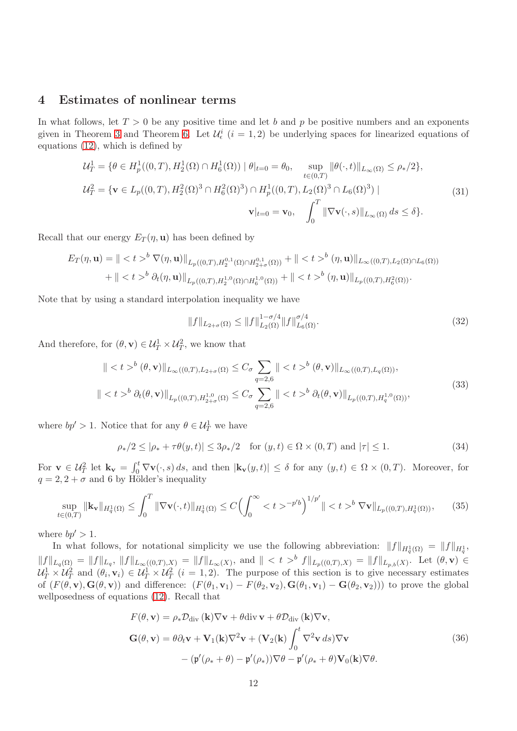### 4 Estimates of nonlinear terms

In what follows, let  $T > 0$  be any positive time and let b and p be positive numbers and an exponents given in Theorem [3](#page-2-0) and Theorem [6.](#page-5-4) Let  $\mathcal{U}_{\epsilon}^{i}$   $(i = 1, 2)$  be underlying spaces for linearized equations of equations [\(12\)](#page-5-3), which is defined by

$$
\mathcal{U}_T^1 = \{ \theta \in H_p^1((0, T), H_2^1(\Omega) \cap H_6^1(\Omega)) \mid \theta|_{t=0} = \theta_0, \quad \sup_{t \in (0, T)} \|\theta(\cdot, t)\|_{L_\infty(\Omega)} \le \rho_*/2 \},
$$
  

$$
\mathcal{U}_T^2 = \{ \mathbf{v} \in L_p((0, T), H_2^2(\Omega)^3 \cap H_6^2(\Omega)^3) \cap H_p^1((0, T), L_2(\Omega)^3 \cap L_6(\Omega)^3) \mid \mathbf{v}|_{t=0} = \mathbf{v}_0, \quad \int_0^T \|\nabla \mathbf{v}(\cdot, s)\|_{L_\infty(\Omega)} ds \le \delta \}.
$$
\n(31)

Recall that our energy  $E_T(\eta, \mathbf{u})$  has been defined by

$$
E_T(\eta, \mathbf{u}) = \| \langle t \rangle^b \nabla(\eta, \mathbf{u}) \|_{L_p((0,T), H_2^{0,1}(\Omega) \cap H_{2+\sigma}^{0,1}(\Omega))} + \| \langle t \rangle^b (\eta, \mathbf{u}) \|_{L_\infty((0,T), L_2(\Omega) \cap L_6(\Omega))}
$$
  
+ 
$$
\| \langle t \rangle^b \partial_t(\eta, \mathbf{u}) \|_{L_p((0,T), H_2^{1,0}(\Omega) \cap H_6^{1,0}(\Omega))} + \| \langle t \rangle^b (\eta, \mathbf{u}) \|_{L_p((0,T), H_6^2(\Omega))}.
$$

Note that by using a standard interpolation inequality we have

$$
||f||_{L_{2+\sigma}(\Omega)} \le ||f||_{L_2(\Omega)}^{1-\sigma/4} ||f||_{L_6(\Omega)}^{\sigma/4}.
$$
\n(32)

And therefore, for  $(\theta, \mathbf{v}) \in \mathcal{U}_T^1 \times \mathcal{U}_T^2$ , we know that

$$
\| ^{b}(\theta, \mathbf{v}) \|_{L_{\infty}((0,T), L_{2+\sigma}(\Omega)} \leq C_{\sigma} \sum_{q=2,6} \| ^{b}(\theta, \mathbf{v}) \|_{L_{\infty}((0,T), L_q(\Omega))},
$$
  

$$
\| ^{b} \partial_{t}(\theta, \mathbf{v}) \|_{L_{p}((0,T), H_{2+\sigma}^{1,0}(\Omega)} \leq C_{\sigma} \sum_{q=2,6} \| ^{b} \partial_{t}(\theta, \mathbf{v}) \|_{L_{p}((0,T), H_{q}^{1,0}(\Omega))},
$$
\n
$$
(33)
$$

where  $bp' > 1$ . Notice that for any  $\theta \in \mathcal{U}_T^1$  we have

<span id="page-11-1"></span>
$$
\rho_*/2 \le |\rho_* + \tau \theta(y, t)| \le 3\rho_*/2 \quad \text{for } (y, t) \in \Omega \times (0, T) \text{ and } |\tau| \le 1. \tag{34}
$$

For  $\mathbf{v} \in \mathcal{U}_T^2$  let  $\mathbf{k}_{\mathbf{v}} = \int_0^t \nabla \mathbf{v}(\cdot, s) ds$ , and then  $|\mathbf{k}_{\mathbf{v}}(y, t)| \leq \delta$  for any  $(y, t) \in \Omega \times (0, T)$ . Moreover, for  $q = 2, 2 + \sigma$  and 6 by Hölder's inequality

<span id="page-11-0"></span>
$$
\sup_{t\in(0,T)} \|\mathbf{k}_{\mathbf{v}}\|_{H_q^1(\Omega)} \le \int_0^T \|\nabla \mathbf{v}(\cdot,t)\|_{H_q^1(\Omega)} \le C \Big(\int_0^\infty ^{-p'b}\Big)^{1/p'}\| ^{b} \|\nabla \mathbf{v}\|_{L_p((0,T),H_q^1(\Omega))},\tag{35}
$$

where  $bp' > 1$ .

In what follows, for notational simplicity we use the following abbreviation:  $||f||_{H_q^1(\Omega)} = ||f||_{H_q^1}$ ,  $||f||_{L_q(\Omega)} = ||f||_{L_q}, ||f||_{L_\infty((0,T),X)} = ||f||_{L_\infty(X)}$ , and  $|| < t >^b f||_{L_p((0,T),X)} = ||f||_{L_{p,b}(X)}$ . Let  $(\theta, \mathbf{v}) \in$  $\mathcal{U}_T^1 \times \mathcal{U}_T^2$  and  $(\theta_i, \mathbf{v}_i) \in \mathcal{U}_T^1 \times \mathcal{U}_T^2$   $(i = 1, 2)$ . The purpose of this section is to give necessary estimates of  $(F(\theta, \mathbf{v}), \mathbf{G}(\theta, \mathbf{v}))$  and difference:  $(F(\theta_1, \mathbf{v}_1) - F(\theta_2, \mathbf{v}_2), \mathbf{G}(\theta_1, \mathbf{v}_1) - \mathbf{G}(\theta_2, \mathbf{v}_2)))$  to prove the global wellposedness of equations [\(12\)](#page-5-3). Recall that

$$
F(\theta, \mathbf{v}) = \rho_* \mathcal{D}_{\text{div}}(\mathbf{k}) \nabla \mathbf{v} + \theta \text{div } \mathbf{v} + \theta \mathcal{D}_{\text{div}}(\mathbf{k}) \nabla \mathbf{v},
$$
  
\n
$$
\mathbf{G}(\theta, \mathbf{v}) = \theta \partial_t \mathbf{v} + \mathbf{V}_1(\mathbf{k}) \nabla^2 \mathbf{v} + (\mathbf{V}_2(\mathbf{k}) \int_0^t \nabla^2 \mathbf{v} \, ds) \nabla \mathbf{v}
$$
  
\n
$$
- (\mathbf{p}'(\rho_* + \theta) - \mathbf{p}'(\rho_*)) \nabla \theta - \mathbf{p}'(\rho_* + \theta) \mathbf{V}_0(\mathbf{k}) \nabla \theta.
$$
\n(36)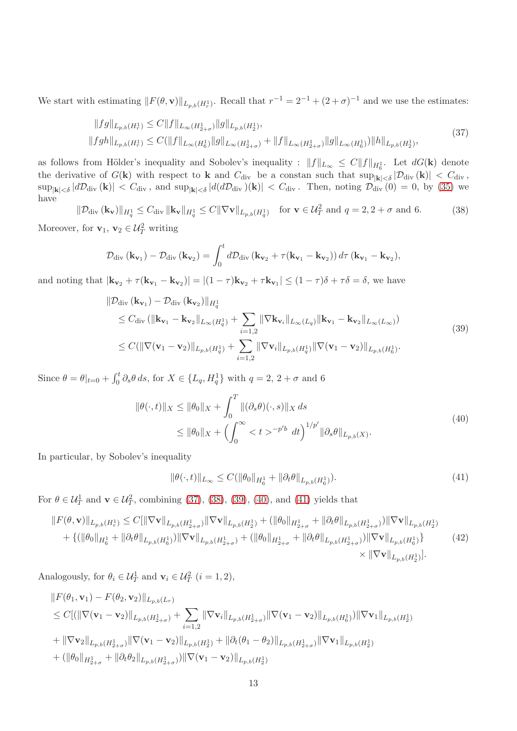We start with estimating  $||F(\theta, \mathbf{v})||_{L_{p,b}(H_r^1)}$ . Recall that  $r^{-1} = 2^{-1} + (2+\sigma)^{-1}$  and we use the estimates:

<span id="page-12-0"></span>
$$
||fg||_{L_{p,b}(H_r^1)} \leq C||f||_{L_{\infty}(H_{2+\sigma}^1)}||g||_{L_{p,b}(H_2^1)},
$$
  

$$
||fgh||_{L_{p,b}(H_r^1)} \leq C(||f||_{L_{\infty}(H_6^1)}||g||_{L_{\infty}(H_{2+\sigma}^1)} + ||f||_{L_{\infty}(H_{2+\sigma}^1)}||g||_{L_{\infty}(H_6^1)})||h||_{L_{p,b}(H_2^1)},
$$
\n
$$
(37)
$$

as follows from Hölder's inequality and Sobolev's inequality :  $||f||_{L_{\infty}} \leq C||f||_{H_6^1}$ . Let  $dG(\bf{k})$  denote the derivative of  $G(\mathbf{k})$  with respect to k and  $C_{\text{div}}$  be a constan such that  $\sup_{|\mathbf{k}| \leq \delta} |\mathcal{D}_{\text{div}}(\mathbf{k})| < C_{\text{div}}$ ,  $\sup_{|\mathbf{k}| < \delta} |d\mathcal{D}_{div}(\mathbf{k})| < C_{div}$ , and  $\sup_{|\mathbf{k}| < \delta} |d(d\mathcal{D}_{div})(\mathbf{k})| < C_{div}$ . Then, noting  $\mathcal{D}_{div}(0) = 0$ , by [\(35\)](#page-11-0) we have

<span id="page-12-1"></span> $\|\mathcal{D}_{div}(\mathbf{k_v})\|_{H_q^1} \leq C_{div} \|\mathbf{k_v}\|_{H_q^1} \leq C\|\nabla \mathbf{v}\|_{L_{p,b}(H_q^1)} \text{ for } \mathbf{v} \in \mathcal{U}_T^2 \text{ and } q = 2, 2 + \sigma \text{ and } 6.$  (38) Moreover, for  $\mathbf{v}_1, \mathbf{v}_2 \in \mathcal{U}_T^2$  writing

$$
\mathcal{D}_{\text{div}}(\mathbf{k}_{\mathbf{v}_1}) - \mathcal{D}_{\text{div}}(\mathbf{k}_{\mathbf{v}_2}) = \int_0^t d\mathcal{D}_{\text{div}}(\mathbf{k}_{\mathbf{v}_2} + \tau(\mathbf{k}_{\mathbf{v}_1} - \mathbf{k}_{\mathbf{v}_2})) d\tau (\mathbf{k}_{\mathbf{v}_1} - \mathbf{k}_{\mathbf{v}_2}),
$$

and noting that  $|\mathbf{k}_{\mathbf{v}_2} + \tau(\mathbf{k}_{\mathbf{v}_1} - \mathbf{k}_{\mathbf{v}_2})| = |(1 - \tau)\mathbf{k}_{\mathbf{v}_2} + \tau\mathbf{k}_{\mathbf{v}_1}| \leq (1 - \tau)\delta + \tau\delta = \delta$ , we have

<span id="page-12-2"></span>
$$
\|\mathcal{D}_{\text{div}}(\mathbf{k}_{\mathbf{v}_{1}}) - \mathcal{D}_{\text{div}}(\mathbf{k}_{\mathbf{v}_{2}})\|_{H_{q}^{1}}\n\leq C_{\text{div}}(\|\mathbf{k}_{\mathbf{v}_{1}} - \mathbf{k}_{\mathbf{v}_{2}}\|_{L_{\infty}(H_{q}^{1})} + \sum_{i=1,2} \|\nabla \mathbf{k}_{\mathbf{v}_{i}}\|_{L_{\infty}(L_{q})} \|\mathbf{k}_{\mathbf{v}_{1}} - \mathbf{k}_{\mathbf{v}_{2}}\|_{L_{\infty}(L_{\infty})})\n\leq C(\|\nabla (\mathbf{v}_{1} - \mathbf{v}_{2})\|_{L_{p,b}(H_{q}^{1})} + \sum_{i=1,2} \|\nabla \mathbf{v}_{i}\|_{L_{p,b}(H_{q}^{1})} \|\nabla (\mathbf{v}_{1} - \mathbf{v}_{2})\|_{L_{p,b}(H_{6}^{1})}.
$$
\n(39)

Since  $\theta = \theta|_{t=0} + \int_0^t \partial_s \theta \, ds$ , for  $X \in \{L_q, H_q^1\}$  with  $q = 2, 2 + \sigma$  and 6

<span id="page-12-3"></span>
$$
\|\theta(\cdot,t)\|_{X} \le \|\theta_0\|_{X} + \int_0^T \|(\partial_s \theta)(\cdot,s)\|_{X} ds
$$
  
\n
$$
\le \|\theta_0\|_{X} + \left(\int_0^\infty ^{-p'b} dt\right)^{1/p'} \|\partial_s \theta\|_{L_{p,b}(X)}.
$$
\n(40)

In particular, by Sobolev's inequality

<span id="page-12-4"></span>
$$
\|\theta(\cdot,t)\|_{L_{\infty}} \le C(\|\theta_0\|_{H_6^1} + \|\partial_t \theta\|_{L_{p,b}(H_6^1)}). \tag{41}
$$

For  $\theta \in \mathcal{U}_T^1$  and  $\mathbf{v} \in \mathcal{U}_T^2$ , combining [\(37\)](#page-12-0), [\(38\)](#page-12-1), [\(39\)](#page-12-2), [\(40\)](#page-12-3), and [\(41\)](#page-12-4) yields that

<span id="page-12-5"></span>
$$
||F(\theta, \mathbf{v})||_{L_{p,b}(H_p^1)} \leq C[||\nabla \mathbf{v}||_{L_{p,b}(H_{2+\sigma}^1)} ||\nabla \mathbf{v}||_{L_{p,b}(H_2^1)} + (||\theta_0||_{H_{2+\sigma}^1} + ||\partial_t \theta||_{L_{p,b}(H_{2+\sigma}^1)}) ||\nabla \mathbf{v}||_{L_{p,b}(H_2^1)}+ \{ (||\theta_0||_{H_0^1} + ||\partial_t \theta||_{L_{p,b}(H_6^1)}) ||\nabla \mathbf{v}||_{L_{p,b}(H_{2+\sigma}^1)} + (||\theta_0||_{H_{2+\sigma}^1} + ||\partial_t \theta||_{L_{p,b}(H_{2+\sigma}^1)}) ||\nabla \mathbf{v}||_{L_{p,b}(H_6^1)}\} \qquad (42) \times ||\nabla \mathbf{v}||_{L_{p,b}(H_2^1)}].
$$

Analogously, for  $\theta_i \in \mathcal{U}_T^1$  and  $\mathbf{v}_i \in \mathcal{U}_T^2$   $(i = 1, 2)$ ,

$$
\label{eq:22} \begin{aligned} &\|F(\theta_1,\mathbf{v}_1)-F(\theta_2,\mathbf{v}_2)\|_{L_{p,b}(L_r)}\\ &\leq C[(\|\nabla (\mathbf{v}_1-\mathbf{v}_2)\|_{L_{p,b}(H_{2+\sigma}^1)}+\sum_{i=1,2}\|\nabla \mathbf{v}_i\|_{L_{p,b}(H_{2+\sigma}^1)}\|\nabla (\mathbf{v}_1-\mathbf{v}_2)\|_{L_{p,b}(H_{6}^1)})\|\nabla \mathbf{v}_1\|_{L_{p,b}(H_{2}^1)}\\ &+\|\nabla \mathbf{v}_2\|_{L_{p,b}(H_{2+\sigma}^1)}\|\nabla (\mathbf{v}_1-\mathbf{v}_2)\|_{L_{p,b}(H_{2}^1)}+\|\partial_t(\theta_1-\theta_2)\|_{L_{p,b}(H_{2+\sigma}^1)}\|\nabla \mathbf{v}_1\|_{L_{p,b}(H_{2}^1)}\\ &+\big(\|\theta_0\|_{H_{2+\sigma}^1}+\|\partial_t\theta_2\|_{L_{p,b}(H_{2+\sigma}^1)}\big)\|\nabla (\mathbf{v}_1-\mathbf{v}_2)\|_{L_{p,b}(H_{2}^1)} \end{aligned}
$$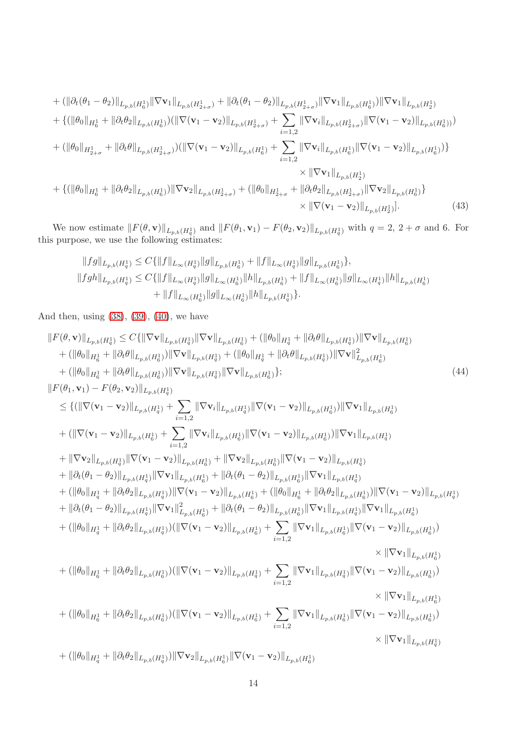+ 
$$
(\|\partial_t(\theta_1 - \theta_2)\|_{L_{p,b}(H_6^1)} \|\nabla \mathbf{v}_1\|_{L_{p,b}(H_{2+\sigma})} + \|\partial_t(\theta_1 - \theta_2)\|_{L_{p,b}(H_{2+\sigma}^1)} \|\nabla \mathbf{v}_1\|_{L_{p,b}(H_6^1)} ) \|\nabla \mathbf{v}_1\|_{L_{p,b}(H_2^1)}
$$
  
+  $\{(\|\theta_0\|_{H_6^1} + \|\partial_t \theta_2\|_{L_{p,b}(H_6^1)})(\|\nabla (\mathbf{v}_1 - \mathbf{v}_2)\|_{L_{p,b}(H_{2+\sigma})} + \sum_{i=1,2} \|\nabla \mathbf{v}_i\|_{L_{p,b}(H_{2+\sigma}^1)} \|\nabla (\mathbf{v}_1 - \mathbf{v}_2)\|_{L_{p,b}(H_6^1)} )$   
+  $(\|\theta_0\|_{H_{2+\sigma}^1} + \|\partial_t \theta\|_{L_{p,b}(H_{2+\sigma}^1)})(\|\nabla (\mathbf{v}_1 - \mathbf{v}_2)\|_{L_{p,b}(H_6^1)} + \sum_{i=1,2} \|\nabla \mathbf{v}_i\|_{L_{p,b}(H_6^1)} \|\nabla (\mathbf{v}_1 - \mathbf{v}_2)\|_{L_{p,b}(H_6^1)} )\}$   
+  $\{(\|\theta_0\|_{H_6^1} + \|\partial_t \theta_2\|_{L_{p,b}(H_6^1)}) \|\nabla \mathbf{v}_2\|_{L_{p,b}(H_{2+\sigma}^1)} + (\|\theta_0\|_{H_{2+\sigma}^1} + \|\partial_t \theta_2\|_{L_{p,b}(H_{2+\sigma}^1)} \|\nabla \mathbf{v}_2\|_{L_{p,b}(H_6^1)} )$   
+  $\{\|(\theta_0\|_{H_6^1} + \|\partial_t \theta_2\|_{L_{p,b}(H_6^1)}) \|\nabla \mathbf{v}_2\|_{L_{p,b}(H_{2+\sigma}^1)} + (\|\theta_0\|_{H_{2+\sigma}^1} + \|\partial_t \theta_2\|_{L_{p,b}(H_{2+\sigma}^1)} \|\nabla \mathbf{v}_2\|_{L_{p,b}(H_6^1)} )$   
+  $|\nabla (\mathbf{v}_1 -$ 

We now estimate  $||F(\theta, \mathbf{v})||_{L_{p,b}(H_q^1)}$  and  $||F(\theta_1, \mathbf{v}_1) - F(\theta_2, \mathbf{v}_2)||_{L_{p,b}(H_q^1)}$  with  $q = 2, 2 + \sigma$  and 6. For this purpose, we use the following estimates:

<span id="page-13-1"></span><span id="page-13-0"></span>
$$
||fg||_{L_{p,b}(H_q^1)} \leq C \{ ||f||_{L_{\infty}(H_q^1)} ||g||_{L_{p,b}(H_6^1)} + ||f||_{L_{\infty}(H_q^1)} ||g||_{L_{p,b}(H_6^1)} \},
$$
  

$$
||fgh||_{L_{p,b}(H_q^1)} \leq C \{ ||f||_{L_{\infty}(H_q^1)} ||g||_{L_{\infty}(H_6^1)} ||h||_{L_{p,b}(H_6^1)} + ||f||_{L_{\infty}(H_6^1)} ||g||_{L_{\infty}(H_q^1)} ||h||_{L_{p,b}(H_6^1)}
$$
  

$$
+ ||f||_{L_{\infty}(H_6^1)} ||g||_{L_{\infty}(H_6^1)} ||h||_{L_{p,b}(H_q^1)} \}.
$$

And then, using  $(38)$ ,  $(39)$ ,  $(40)$ , we have

$$
\|F(\theta, \mathbf{v})\|_{L_{p,b}(H_{q}^{1})} \leq C\{\|\nabla\mathbf{v}\|_{L_{p,b}(H_{q}^{1})}\|\nabla\mathbf{v}\|_{L_{p,b}(H_{q}^{1})} + (\|\theta_{0}\|_{H_{q}^{1}} + \|\partial_{t}\theta\|_{L_{p,b}(H_{q}^{1})})\|\nabla\mathbf{v}\|_{L_{p,b}(H_{q}^{1})} + (\|\theta_{0}\|_{H_{q}^{1}} + \|\partial_{t}\theta\|_{L_{p,b}(H_{q}^{1})})\|\nabla\mathbf{v}\|_{L_{p,b}(H_{q}^{1})} + (\|\theta_{0}\|_{H_{q}^{1}} + \|\partial_{t}\theta\|_{L_{p,b}(H_{q}^{1})})\|\nabla\mathbf{v}\|_{L_{p,b}(H_{q}^{1})} + (\|\theta_{0}\|_{H_{q}^{1}} + \|\partial_{t}\theta\|_{L_{p,b}(H_{q}^{1})})\|\nabla\mathbf{v}\|_{L_{p,b}(H_{q}^{1})} + (\|\theta_{0}\|_{H_{q}^{1}} + \|\partial_{t}\theta\|_{L_{p,b}(H_{q}^{1})})\|\nabla\mathbf{v}\|_{L_{p,b}(H_{q}^{1})} + (\|\theta_{0}\|_{H_{q}^{1}} + \|\partial_{t}\theta\|_{L_{p,b}(H_{q}^{1})})\|\nabla\mathbf{v}\|_{L_{p,b}(H_{q}^{1})} + (\|\nabla(\mathbf{v}_{1} - \mathbf{v}_{2})\|_{L_{p,b}(H_{q}^{1})} + \sum_{i=1,2} \|\nabla\mathbf{v}_{i}\|_{L_{p,b}(H_{q}^{1})}\|\nabla(\mathbf{v}_{1} - \mathbf{v}_{2})\|_{L_{p,b}(H_{q}^{1})}\|\nabla\mathbf{v}_{1}\|_{L_{p,b}(H_{q}^{1})} + (\|\nabla(\mathbf{v}_{1} - \mathbf{v}_{2})\|_{L_{p,b}(H_{q}^{1})}\|\nabla\mathbf{v}_{1}\|_{L_{p,b}(H_{q}^{1})} + (\|\nabla(\mathbf{v}_{1} - \mathbf{v}_{2})\|_{L_{p,b}(H_{q}^{1})}\|\nabla\mathbf{v}_{1}\|_{L_{p,b}(H_{q}^{1})} + (\|\nabla(\
$$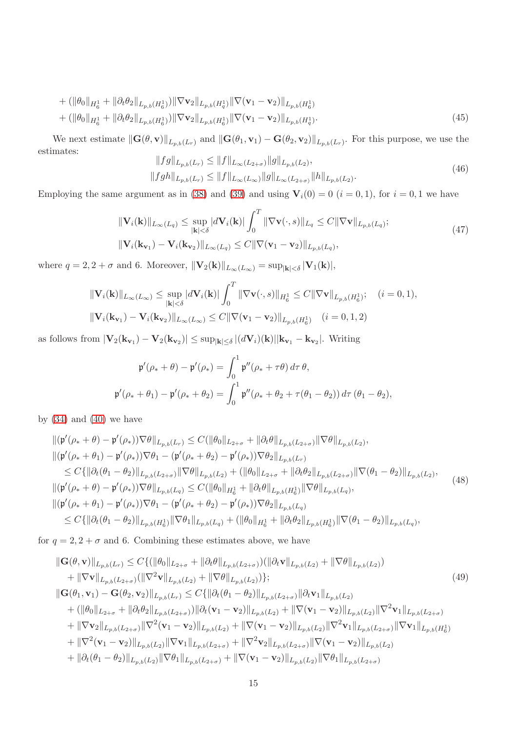+ 
$$
(\|\theta_0\|_{H_6^1} + \|\partial_t \theta_2\|_{L_{p,b}(H_6^1)}) \|\nabla \mathbf{v}_2\|_{L_{p,b}(H_q^1)} \|\nabla (\mathbf{v}_1 - \mathbf{v}_2)\|_{L_{p,b}(H_6^1)}
$$
  
+  $(\|\theta_0\|_{H_6^1} + \|\partial_t \theta_2\|_{L_{p,b}(H_6^1)}) \|\nabla \mathbf{v}_2\|_{L_{p,b}(H_6^1)} \|\nabla (\mathbf{v}_1 - \mathbf{v}_2)\|_{L_{p,b}(H_q^1)}$ . (45)

We next estimate  $\|\mathbf{G}(\theta, \mathbf{v})\|_{L_{p,b}(L_r)}$  and  $\|\mathbf{G}(\theta_1, \mathbf{v}_1) - \mathbf{G}(\theta_2, \mathbf{v}_2)\|_{L_{p,b}(L_r)}$ . For this purpose, we use the estimates:  $\|f_{\infty}\|$   $\geq \|f\|$   $\leq \|f\|$ 

<span id="page-14-3"></span>
$$
||fg||_{L_{p,b}(L_r)} \le ||f||_{L_{\infty}(L_{2+\sigma})} ||g||_{L_{p,b}(L_2)},
$$
  

$$
||fgh||_{L_{p,b}(L_r)} \le ||f||_{L_{\infty}(L_{\infty})} ||g||_{L_{\infty}(L_{2+\sigma})} ||h||_{L_{p,b}(L_2)}.
$$
\n(46)

Employing the same argument as in [\(38\)](#page-12-1) and [\(39\)](#page-12-2) and using  $V_i(0) = 0$   $(i = 0, 1)$ , for  $i = 0, 1$  we have

<span id="page-14-0"></span>
$$
\|\mathbf{V}_{i}(\mathbf{k})\|_{L_{\infty}(L_{q})} \leq \sup_{|\mathbf{k}| < \delta} |d\mathbf{V}_{i}(\mathbf{k})| \int_{0}^{T} \|\nabla \mathbf{v}(\cdot, s)\|_{L_{q}} \leq C \|\nabla \mathbf{v}\|_{L_{p,b}(L_{q})};
$$
  

$$
\|\mathbf{V}_{i}(\mathbf{k}_{\mathbf{v}_{1}}) - \mathbf{V}_{i}(\mathbf{k}_{\mathbf{v}_{2}})\|_{L_{\infty}(L_{q})} \leq C \|\nabla (\mathbf{v}_{1} - \mathbf{v}_{2})\|_{L_{p,b}(L_{q})},
$$
\n
$$
(47)
$$

where  $q = 2, 2 + \sigma$  and 6. Moreover,  $\|\mathbf{V}_2(\mathbf{k})\|_{L_\infty(L_\infty)} = \sup_{|\mathbf{k}| < \delta} |\mathbf{V}_1(\mathbf{k})|$ ,

$$
\|\mathbf{V}_{i}(\mathbf{k})\|_{L_{\infty}(L_{\infty})} \leq \sup_{|\mathbf{k}| < \delta} |d\mathbf{V}_{i}(\mathbf{k})| \int_{0}^{T} \|\nabla \mathbf{v}(\cdot, s)\|_{H_{6}^{1}} \leq C \|\nabla \mathbf{v}\|_{L_{p,b}(H_{6}^{1})}; \quad (i = 0, 1),
$$
  

$$
\|\mathbf{V}_{i}(\mathbf{k}_{\mathbf{v}_{1}}) - \mathbf{V}_{i}(\mathbf{k}_{\mathbf{v}_{2}})\|_{L_{\infty}(L_{\infty})} \leq C \|\nabla (\mathbf{v}_{1} - \mathbf{v}_{2})\|_{L_{p,b}(H_{6}^{1})} \quad (i = 0, 1, 2)
$$

as follows from  $|\mathbf{V}_2(\mathbf{k}_{\mathbf{v}_1}) - \mathbf{V}_2(\mathbf{k}_{\mathbf{v}_2})| \leq \sup_{|\mathbf{k}| \leq \delta} |(d\mathbf{V}_i)(\mathbf{k})||\mathbf{k}_{\mathbf{v}_1} - \mathbf{k}_{\mathbf{v}_2}|$ . Writing

$$
\mathfrak{p}'(\rho_* + \theta) - \mathfrak{p}'(\rho_*) = \int_0^1 \mathfrak{p}''(\rho_* + \tau\theta) d\tau \theta,
$$
  

$$
\mathfrak{p}'(\rho_* + \theta_1) - \mathfrak{p}'(\rho_* + \theta_2) = \int_0^1 \mathfrak{p}''(\rho_* + \theta_2 + \tau(\theta_1 - \theta_2)) d\tau (\theta_1 - \theta_2),
$$

by  $(34)$  and  $(40)$  we have

<span id="page-14-1"></span>
$$
\begin{split}\n\|(\mathfrak{p}'(\rho_{*}+\theta)-\mathfrak{p}'(\rho_{*}))\nabla\theta\|_{L_{p,b}(L_{r})} &\leq C(\|\theta_{0}\|_{L_{2+\sigma}}+\|\partial_{t}\theta\|_{L_{p,b}(L_{2+\sigma})}\|\nabla\theta\|_{L_{p,b}(L_{2})}, \\
\|(\mathfrak{p}'(\rho_{*}+\theta_{1})-\mathfrak{p}'(\rho_{*}))\nabla\theta_{1}-(\mathfrak{p}'(\rho_{*}+\theta_{2})-\mathfrak{p}'(\rho_{*}))\nabla\theta_{2}\|_{L_{p,b}(L_{r})} \\
&\leq C\{\|\partial_{t}(\theta_{1}-\theta_{2})\|_{L_{p,b}(L_{2+\sigma})}\|\nabla\theta\|_{L_{p,b}(L_{2})}+(\|\theta_{0}\|_{L_{2+\sigma}}+\|\partial_{t}\theta_{2}\|_{L_{p,b}(L_{2+\sigma})}\|\nabla(\theta_{1}-\theta_{2})\|_{L_{p,b}(L_{2})}, \\
\|(\mathfrak{p}'(\rho_{*}+\theta)-\mathfrak{p}'(\rho_{*}))\nabla\theta\|_{L_{p,b}(L_{q})} &\leq C(\|\theta_{0}\|_{H_{6}^{1}}+\|\partial_{t}\theta\|_{L_{p,b}(H_{6}^{1})}\|\nabla\theta\|_{L_{p,b}(L_{q})}, \\
\|(\mathfrak{p}'(\rho_{*}+\theta_{1})-\mathfrak{p}'(\rho_{*}))\nabla\theta_{1}-(\mathfrak{p}'(\rho_{*}+\theta_{2})-\mathfrak{p}'(\rho_{*}))\nabla\theta_{2}\|_{L_{p,b}(L_{q})} \\
&\leq C\{\|\partial_{t}(\theta_{1}-\theta_{2})\|_{L_{p,b}(H_{6}^{1})}\|\nabla\theta_{1}\|_{L_{p,b}(L_{q})}+(\|\theta_{0}\|_{H_{6}^{1}}+\|\partial_{t}\theta_{2}\|_{L_{p,b}(H_{6}^{1})}\|\nabla(\theta_{1}-\theta_{2})\|_{L_{p,b}(L_{q})},\n\end{split} \tag{48}
$$

for  $q = 2, 2 + \sigma$  and 6. Combining these estimates above, we have

<span id="page-14-2"></span>
$$
\begin{split}\n\|\mathbf{G}(\theta,\mathbf{v})\|_{L_{p,b}(L_{r})} &\leq C\{(\|\theta_{0}\|_{L_{2+\sigma}} + \|\partial_{t}\theta\|_{L_{p,b}(L_{2+\sigma}))}(\|\partial_{t}\mathbf{v}\|_{L_{p,b}(L_{2})} + \|\nabla\theta\|_{L_{p,b}(L_{2})}) \\
&\quad + \|\nabla\mathbf{v}\|_{L_{p,b}(L_{2+\sigma})}(\|\nabla^{2}\mathbf{v}\|_{L_{p,b}(L_{2})} + \|\nabla\theta\|_{L_{p,b}(L_{2})})\};\n\|\mathbf{G}(\theta_{1},\mathbf{v}_{1}) - \mathbf{G}(\theta_{2},\mathbf{v}_{2})\|_{L_{p,b}(L_{r})} &\leq C\{\|\partial_{t}(\theta_{1} - \theta_{2})\|_{L_{p,b}(L_{2+\sigma})}\|\partial_{t}\mathbf{v}_{1}\|_{L_{p,b}(L_{2})} \\
&\quad + (\|\theta_{0}\|_{L_{2+\sigma}} + \|\partial_{t}\theta_{2}\|_{L_{p,b}(L_{2+\sigma}))}\|\partial_{t}(\mathbf{v}_{1} - \mathbf{v}_{2})\|_{L_{p,b}(L_{2})} + \|\nabla(\mathbf{v}_{1} - \mathbf{v}_{2})\|_{L_{p,b}(L_{2})}\|\nabla^{2}\mathbf{v}_{1}\|_{L_{p,b}(L_{2+\sigma})} \\
&\quad + \|\nabla\mathbf{v}_{2}\|_{L_{p,b}(L_{2+\sigma})}\|\nabla^{2}(\mathbf{v}_{1} - \mathbf{v}_{2})\|_{L_{p,b}(L_{2})} + \|\nabla(\mathbf{v}_{1} - \mathbf{v}_{2})\|_{L_{p,b}(L_{2})}\|\nabla^{2}\mathbf{v}_{1}\|_{L_{p,b}(L_{2+\sigma})}\|\nabla\mathbf{v}_{1}\|_{L_{p,b}(H_{b}^{1})} \\
&\quad + \|\nabla^{2}(\mathbf{v}_{1} - \mathbf{v}_{2})\|_{L_{p,b}(L_{2})}\|\nabla\mathbf{v}_{1}\|_{L_{p,b}(L_{2+\sigma})} + \|\nabla^{2}\mathbf{v}_{2}\|_{L_{p,b}(L_{2+\sigma})}\|\nabla(\mathbf{v}_{1} - \mathbf{v}_{2})\|_{L_{p,b}(L_{2})} \\
&\quad +
$$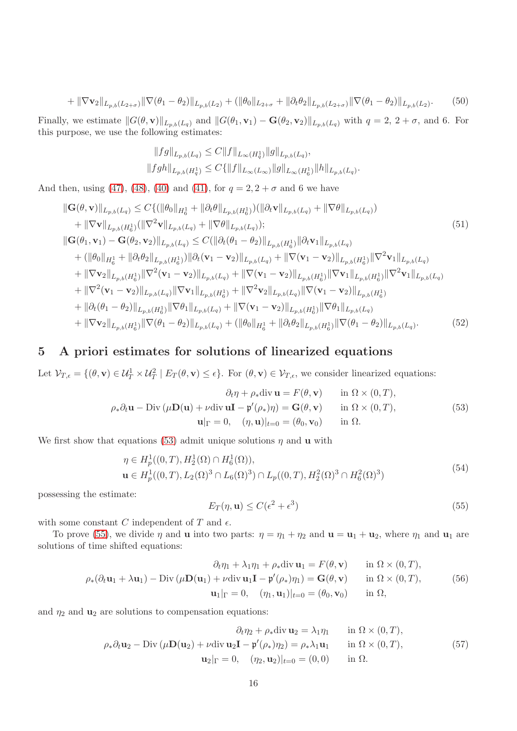$$
+ \|\nabla \mathbf{v}_2\|_{L_{p,b}(L_{2+\sigma})} \|\nabla (\theta_1 - \theta_2)\|_{L_{p,b}(L_2)} + (\|\theta_0\|_{L_{2+\sigma}} + \|\partial_t \theta_2\|_{L_{p,b}(L_{2+\sigma})} \|\nabla (\theta_1 - \theta_2)\|_{L_{p,b}(L_2)}.
$$
 (50)

Finally, we estimate  $\|G(\theta, \mathbf{v})\|_{L_{p,b}(L_q)}$  and  $\|G(\theta_1, \mathbf{v}_1) - \mathbf{G}(\theta_2, \mathbf{v}_2)\|_{L_{p,b}(L_q)}$  with  $q = 2, 2 + \sigma$ , and 6. For this purpose, we use the following estimates:

<span id="page-15-5"></span><span id="page-15-3"></span>
$$
||fg||_{L_{p,b}(L_q)} \leq C||f||_{L_{\infty}(H_q^1)}||g||_{L_{p,b}(L_q)},
$$
  

$$
||fgh||_{L_{p,b}(H_q^1)} \leq C\{||f||_{L_{\infty}(L_{\infty})}||g||_{L_{\infty}(H_6^1)}||h||_{L_{p,b}(L_q)}.
$$

And then, using [\(47\)](#page-14-0), [\(48\)](#page-14-1), [\(40\)](#page-12-3) and [\(41\)](#page-12-4), for  $q = 2, 2 + \sigma$  and 6 we have

$$
\|\mathbf{G}(\theta, \mathbf{v})\|_{L_{p,b}(L_q)} \leq C \{ (\|\theta_0\|_{H_6^1} + \|\partial_t \theta\|_{L_{p,b}(H_6^1)}) (\|\partial_t \mathbf{v}\|_{L_{p,b}(L_q)} + \|\nabla \theta\|_{L_{p,b}(L_q)}) \n+ \|\nabla \mathbf{v}\|_{L_{p,b}(H_6^1)} (\|\nabla^2 \mathbf{v}\|_{L_{p,b}(L_q)} + \|\nabla \theta\|_{L_{p,b}(L_q)});
$$
\n(G( $\theta_1, \mathbf{v}_1$ ) -  $\mathbf{G}(\theta_2, \mathbf{v}_2) \|_{L_{p,b}(L_q)} \leq C (\|\partial_t (\theta_1 - \theta_2)\|_{L_{p,b}(H_6^1)} \|\partial_t \mathbf{v}_1\|_{L_{p,b}(L_q)} \n+ (\|\theta_0\|_{H_6^1} + \|\partial_t \theta_2\|_{L_{p,b}(H_6^1)}) \|\partial_t (\mathbf{v}_1 - \mathbf{v}_2)\|_{L_{p,b}(L_q)} + \|\nabla (\mathbf{v}_1 - \mathbf{v}_2)\|_{L_{p,b}(H_6^1)} \|\nabla^2 \mathbf{v}_1\|_{L_{p,b}(L_q)} \n+ \|\nabla \mathbf{v}_2\|_{L_{p,b}(H_6^1)} \|\nabla^2 (\mathbf{v}_1 - \mathbf{v}_2)\|_{L_{p,b}(L_q)} + \|\nabla (\mathbf{v}_1 - \mathbf{v}_2)\|_{L_{p,b}(H_6^1)} \|\nabla \mathbf{v}_1\|_{L_{p,b}(H_6^1)} \|\nabla^2 \mathbf{v}_1\|_{L_{p,b}(L_q)} \n+ \|\nabla^2 (\mathbf{v}_1 - \mathbf{v}_2)\|_{L_{p,b}(L_q)} \|\nabla \mathbf{v}_1\|_{L_{p,b}(H_6^1)} + \|\nabla^2 \mathbf{v}_2\|_{L_{p,b}(L_q)} \|\nabla (\mathbf{v}_1 - \mathbf{v}_2)\|_{L_{p,b}(H_6^1)} \n+ \|\partial_t (\theta_1 - \theta_2)\|_{L_{p,b}(H_6^1)} \|\nabla \theta_1\|_{L_{p,b}(L_q)} + \|\nabla (\mathbf{v}_1 -$ 

## 5 A priori estimates for solutions of linearized equations

Let  $\mathcal{V}_{T,\epsilon} = \{(\theta, \mathbf{v}) \in \mathcal{U}_T^1 \times \mathcal{U}_T^2 \mid E_T(\theta, \mathbf{v}) \leq \epsilon\}$ . For  $(\theta, \mathbf{v}) \in \mathcal{V}_{T,\epsilon}$ , we consider linearized equations:

<span id="page-15-0"></span>
$$
\partial_t \eta + \rho_* \text{div } \mathbf{u} = F(\theta, \mathbf{v}) \quad \text{in } \Omega \times (0, T),
$$
  
\n
$$
\rho_* \partial_t \mathbf{u} - \text{Div } (\mu \mathbf{D}(\mathbf{u}) + \nu \text{div } \mathbf{u} \mathbf{I} - \mathfrak{p}'(\rho_*) \eta) = \mathbf{G}(\theta, \mathbf{v}) \quad \text{in } \Omega \times (0, T),
$$
  
\n
$$
\mathbf{u}|_{\Gamma} = 0, \quad (\eta, \mathbf{u})|_{t=0} = (\theta_0, \mathbf{v}_0) \quad \text{in } \Omega.
$$
\n(53)

We first show that equations [\(53\)](#page-15-0) admit unique solutions  $\eta$  and **u** with

$$
\eta \in H_p^1((0,T), H_2^1(\Omega) \cap H_6^1(\Omega)),
$$
  
\n
$$
\mathbf{u} \in H_p^1((0,T), L_2(\Omega)^3 \cap L_6(\Omega)^3) \cap L_p((0,T), H_2^2(\Omega)^3 \cap H_6^2(\Omega)^3)
$$
\n(54)

possessing the estimate:

<span id="page-15-6"></span><span id="page-15-1"></span>
$$
E_T(\eta, \mathbf{u}) \le C(\epsilon^2 + \epsilon^3) \tag{55}
$$

with some constant C independent of T and  $\epsilon$ .

To prove [\(55\)](#page-15-1), we divide  $\eta$  and **u** into two parts:  $\eta = \eta_1 + \eta_2$  and  $\mathbf{u} = \mathbf{u}_1 + \mathbf{u}_2$ , where  $\eta_1$  and  $\mathbf{u}_1$  are solutions of time shifted equations:

<span id="page-15-2"></span>
$$
\partial_t \eta_1 + \lambda_1 \eta_1 + \rho_* \text{div } \mathbf{u}_1 = F(\theta, \mathbf{v}) \quad \text{in } \Omega \times (0, T),
$$
  
\n
$$
\rho_* (\partial_t \mathbf{u}_1 + \lambda \mathbf{u}_1) - \text{Div } (\mu \mathbf{D}(\mathbf{u}_1) + \nu \text{div } \mathbf{u}_1 \mathbf{I} - \mathfrak{p}'(\rho_*) \eta_1) = \mathbf{G}(\theta, \mathbf{v}) \quad \text{in } \Omega \times (0, T),
$$
  
\n
$$
\mathbf{u}_1|_{\Gamma} = 0, \quad (\eta_1, \mathbf{u}_1)|_{t=0} = (\theta_0, \mathbf{v}_0) \quad \text{in } \Omega,
$$
  
\n(56)

and  $\eta_2$  and  $\mathbf{u}_2$  are solutions to compensation equations:

<span id="page-15-4"></span>
$$
\partial_t \eta_2 + \rho_* \text{div } \mathbf{u}_2 = \lambda_1 \eta_1 \qquad \text{in } \Omega \times (0, T),
$$
  
\n
$$
\rho_* \partial_t \mathbf{u}_2 - \text{Div } (\mu \mathbf{D}(\mathbf{u}_2) + \nu \text{div } \mathbf{u}_2 \mathbf{I} - \mathbf{p}'(\rho_*) \eta_2) = \rho_* \lambda_1 \mathbf{u}_1 \qquad \text{in } \Omega \times (0, T),
$$
  
\n
$$
\mathbf{u}_2|_{\Gamma} = 0, \quad (\eta_2, \mathbf{u}_2)|_{t=0} = (0, 0) \qquad \text{in } \Omega.
$$
 (57)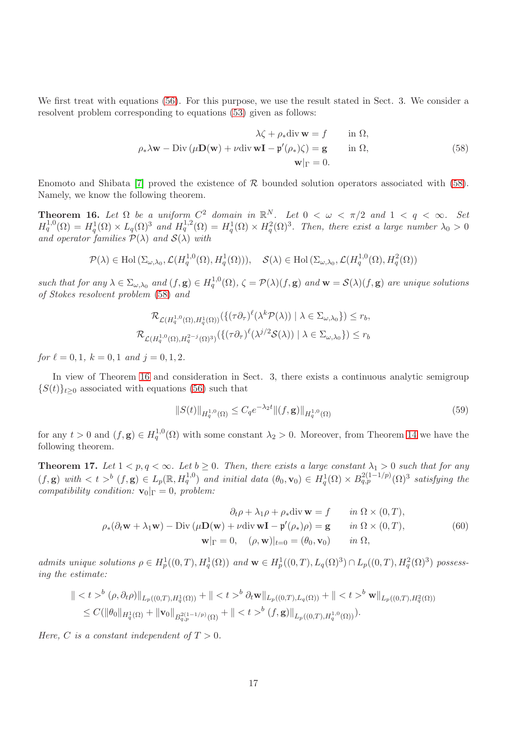We first treat with equations [\(56\)](#page-15-2). For this purpose, we use the result stated in Sect. 3. We consider a resolvent problem corresponding to equations [\(53\)](#page-15-0) given as follows:

<span id="page-16-0"></span>
$$
\lambda \zeta + \rho_* \text{div } \mathbf{w} = f \quad \text{in } \Omega,
$$
  

$$
\rho_* \lambda \mathbf{w} - \text{Div} (\mu \mathbf{D}(\mathbf{w}) + \nu \text{div } \mathbf{w} \mathbf{I} - \mathfrak{p}'(\rho_*) \zeta) = \mathbf{g} \quad \text{in } \Omega,
$$
  

$$
\mathbf{w}|_{\Gamma} = 0.
$$
 (58)

Enomoto and Shibata [\[7\]](#page-24-4) proved the existence of  $R$  bounded solution operators associated with [\(58\)](#page-16-0). Namely, we know the following theorem.

<span id="page-16-1"></span>**Theorem 16.** Let  $\Omega$  be a uniform  $C^2$  domain in  $\mathbb{R}^N$ . Let  $0 < \omega < \pi/2$  and  $1 < q < \infty$ . Set  $H_q^{1,0}(\Omega) = H_q^1(\Omega) \times L_q(\Omega)^3$  and  $H_q^{1,2}(\Omega) = H_q^1(\Omega) \times H_q^2(\Omega)^3$ . Then, there exist a large number  $\lambda_0 > 0$ and operator families  $\mathcal{P}(\lambda)$  and  $\mathcal{S}(\lambda)$  with

$$
\mathcal{P}(\lambda) \in \text{Hol} \left( \Sigma_{\omega,\lambda_0}, \mathcal{L}(H_q^{1,0}(\Omega), H_q^1(\Omega)) \right), \quad \mathcal{S}(\lambda) \in \text{Hol} \left( \Sigma_{\omega,\lambda_0}, \mathcal{L}(H_q^{1,0}(\Omega), H_q^2(\Omega)) \right)
$$

such that for any  $\lambda \in \Sigma_{\omega,\lambda_0}$  and  $(f,g) \in H_q^{1,0}(\Omega)$ ,  $\zeta = \mathcal{P}(\lambda)(f,g)$  and  $\mathbf{w} = \mathcal{S}(\lambda)(f,g)$  are unique solutions of Stokes resolvent problem [\(58\)](#page-16-0) and

$$
\mathcal{R}_{\mathcal{L}(H_q^{1,0}(\Omega), H_q^1(\Omega))}(\{(\tau\partial_\tau)^{\ell}(\lambda^k\mathcal{P}(\lambda)) \mid \lambda \in \Sigma_{\omega,\lambda_0}\}) \leq r_b,
$$
  

$$
\mathcal{R}_{\mathcal{L}(H_q^{1,0}(\Omega), H_q^{2-j}(\Omega)^3)}(\{(\tau\partial_\tau)^{\ell}(\lambda^{j/2}\mathcal{S}(\lambda)) \mid \lambda \in \Sigma_{\omega,\lambda_0}\}) \leq r_b
$$

for  $\ell = 0, 1, k = 0, 1$  and  $j = 0, 1, 2$ .

In view of Theorem [16](#page-16-1) and consideration in Sect. 3, there exists a continuous analytic semigroup  $\{S(t)\}_{t\geq 0}$  associated with equations [\(56\)](#page-15-2) such that

<span id="page-16-2"></span>
$$
||S(t)||_{H_q^{1,0}(\Omega)} \le C_q e^{-\lambda_2 t} ||(f, \mathbf{g})||_{H_q^{1,0}(\Omega)} \tag{59}
$$

for any  $t > 0$  and  $(f, g) \in H_q^{1,0}(\Omega)$  with some constant  $\lambda_2 > 0$ . Moreover, from Theorem [14](#page-9-1) we have the following theorem.

<span id="page-16-3"></span>**Theorem 17.** Let  $1 < p, q < \infty$ . Let  $b \ge 0$ . Then, there exists a large constant  $\lambda_1 > 0$  such that for any  $(f, \mathbf{g})$  with  $\langle t \rangle^b$   $(f, \mathbf{g}) \in L_p(\mathbb{R}, H_q^{1,0})$  and initial data  $(\theta_0, \mathbf{v}_0) \in H_q^1(\Omega) \times B_{q,p}^{2(1-1/p)}(\Omega)^3$  satisfying the compatibility condition:  $\mathbf{v}_0|_{\Gamma} = 0$ , problem:

$$
\partial_t \rho + \lambda_1 \rho + \rho_* \text{div } \mathbf{w} = f \qquad in \ \Omega \times (0, T),
$$
  

$$
\rho_* (\partial_t \mathbf{w} + \lambda_1 \mathbf{w}) - \text{Div} (\mu \mathbf{D}(\mathbf{w}) + \nu \text{div } \mathbf{w} \mathbf{I} - \mathfrak{p}'(\rho_*) \rho) = \mathbf{g} \qquad in \ \Omega \times (0, T),
$$
  

$$
\mathbf{w}|_{\Gamma} = 0, \quad (\rho, \mathbf{w})|_{t=0} = (\theta_0, \mathbf{v}_0) \qquad in \ \Omega,
$$
 (60)

admits unique solutions  $\rho \in H^1_p((0,T), H^1_q(\Omega))$  and  $\mathbf{w} \in H^1_p((0,T), L_q(\Omega)^3) \cap L_p((0,T), H^2_q(\Omega)^3)$  possessing the estimate:

$$
\| ^{b} (\rho, \partial_t \rho) \|_{L_p((0,T), H_q^1(\Omega))} + \| ^{b} \partial_t \mathbf{w} \|_{L_p((0,T), L_q(\Omega))} + \| ^{b} \mathbf{w} \|_{L_p((0,T), H_q^2(\Omega))}
$$
  

$$
\leq C (\|\theta_0\|_{H_q^1(\Omega)} + \|\mathbf{v}_0\|_{B_{q,p}^{2(1-1/p)}(\Omega)} + \| ^{b} (f, \mathbf{g}) \|_{L_p((0,T), H_q^{1,0}(\Omega))}).
$$

Here, C is a constant independent of  $T > 0$ .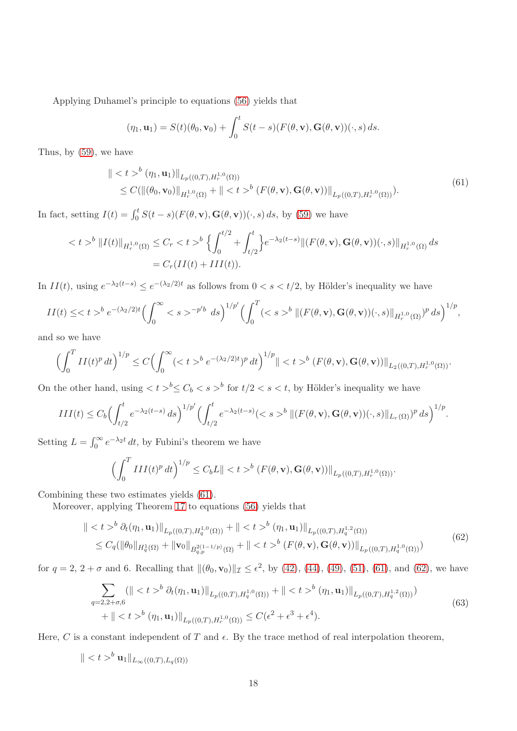Applying Duhamel's principle to equations [\(56\)](#page-15-2) yields that

$$
(\eta_1, \mathbf{u}_1) = S(t)(\theta_0, \mathbf{v}_0) + \int_0^t S(t-s)(F(\theta, \mathbf{v}), \mathbf{G}(\theta, \mathbf{v}))(\cdot, s) ds.
$$

Thus, by [\(59\)](#page-16-2), we have

<span id="page-17-0"></span>
$$
\| < t >^{b} (\eta_{1}, \mathbf{u}_{1}) \|_{L_{p}((0,T), H_{r}^{1,0}(\Omega))}
$$
  
\n
$$
\leq C(\|(\theta_{0}, \mathbf{v}_{0})\|_{H_{r}^{1,0}(\Omega)} + \| < t >^{b} (F(\theta, \mathbf{v}), \mathbf{G}(\theta, \mathbf{v})) \|_{L_{p}((0,T), H_{r}^{1,0}(\Omega))}).
$$
\n(61)

In fact, setting  $I(t) = \int_0^t S(t-s)(F(\theta, \mathbf{v}), \mathbf{G}(\theta, \mathbf{v}))(\cdot, s) ds$ , by [\(59\)](#page-16-2) we have

$$
\langle t \rangle^{b} \|I(t)\|_{H_r^{1,0}(\Omega)} \leq C_r \langle t \rangle^{b} \left\{ \int_0^{t/2} + \int_{t/2}^t \right\} e^{-\lambda_2(t-s)} \| (F(\theta, \mathbf{v}), \mathbf{G}(\theta, \mathbf{v}))(\cdot, s) \|_{H_r^{1,0}(\Omega)} ds
$$
  
=  $C_r(II(t) + III(t)).$ 

In  $II(t)$ , using  $e^{-\lambda_2(t-s)} \le e^{-(\lambda_2/2)t}$  as follows from  $0 < s < t/2$ , by Hölder's inequality we have

$$
II(t) \leq \langle t \rangle^{b} e^{-(\lambda_2/2)t} \Biggl( \int_0^{\infty} \langle s \rangle^{-p'b} ds \Biggr)^{1/p'} \Biggl( \int_0^T (\langle s \rangle^b) \|(F(\theta, \mathbf{v}), \mathbf{G}(\theta, \mathbf{v}))(\cdot, s)\|_{H^{1,0}_r(\Omega)} \Biggr)^p ds \Biggr)^{1/p},
$$

and so we have

$$
\left(\int_0^T II(t)^p dt\right)^{1/p} \le C\left(\int_0^\infty (^b e^{-(\lambda_2/2)t})^p dt\right)^{1/p} \le C\left(\int_0^T [H(t)\mathbf{v}_\mathbf{v}(\theta,\mathbf{v}_\mathbf{v})]_{L_2((0,T),H_r^{1,0}(\Omega))}.
$$

On the other hand, using  $\langle t \rangle^b \leq C_b \langle s \rangle^b$  for  $t/2 \langle s \langle t \rangle$ , by Hölder's inequality we have

$$
III(t) \leq C_b \Big( \int_{t/2}^t e^{-\lambda_2(t-s)} ds \Big)^{1/p'} \Big( \int_{t/2}^t e^{-\lambda_2(t-s)} (~~^b \|(F(\theta, \mathbf{v}), \mathbf{G}(\theta, \mathbf{v}))(\cdot, s)\|_{L_r(\Omega)} )^p ds \Big)^{1/p}.~~
$$

Setting  $L = \int_0^\infty e^{-\lambda_2 t} dt$ , by Fubini's theorem we have

$$
\left(\int_0^T III(t)^p dt\right)^{1/p} \le C_b L \Vert < t >^b \left(F(\theta, \mathbf{v}), \mathbf{G}(\theta, \mathbf{v})\right) \Vert_{L_p((0,T), H_r^{1,0}(\Omega))}.
$$

Combining these two estimates yields [\(61\)](#page-17-0).

Moreover, applying Theorem [17](#page-16-3) to equations [\(56\)](#page-15-2) yields that

<span id="page-17-1"></span>
$$
\| < t >^{b} \partial_{t}(\eta_{1}, \mathbf{u}_{1}) \|_{L_{p}((0,T), H_{q}^{1,0}(\Omega))} + \| < t >^{b} (\eta_{1}, \mathbf{u}_{1}) \|_{L_{p}((0,T), H_{q}^{1,2}(\Omega))}
$$
  
\n
$$
\leq C_{q}(\|\theta_{0}\|_{H_{q}^{1}(\Omega)} + \|\mathbf{v}_{0}\|_{B_{q,p}^{2(1-1/p)}(\Omega)} + \| < t >^{b} (F(\theta, \mathbf{v}), \mathbf{G}(\theta, \mathbf{v})) \|_{L_{p}((0,T), H_{q}^{1,0}(\Omega))})
$$
\n(62)

for  $q = 2, 2 + \sigma$  and 6. Recalling that  $\|(\theta_0, \mathbf{v}_0)\|_{\mathcal{I}} \leq \epsilon^2$ , by [\(42\)](#page-12-5), [\(44\)](#page-13-0), [\(49\)](#page-14-2), [\(51\)](#page-15-3), [\(61\)](#page-17-0), and [\(62\)](#page-17-1), we have

<span id="page-17-2"></span>
$$
\sum_{q=2,2+\sigma,6} (\| ^{b} \partial_{t}(\eta_{1}, \mathbf{u}_{1}) \|_{L_{p}((0,T),H_{q}^{1,0}(\Omega))} + \| ^{b} (\eta_{1}, \mathbf{u}_{1}) \|_{L_{p}((0,T),H_{q}^{1,2}(\Omega))}) \n+ \| ^{b} (\eta_{1}, \mathbf{u}_{1}) \|_{L_{p}((0,T),H_{r}^{1,0}(\Omega))} \leq C(\epsilon^{2} + \epsilon^{3} + \epsilon^{4}).
$$
\n(63)

Here, C is a constant independent of T and  $\epsilon$ . By the trace method of real interpolation theorem,

$$
\| < t >^b \mathbf{u}_1 \|_{L_\infty((0,T),L_q(\Omega))}
$$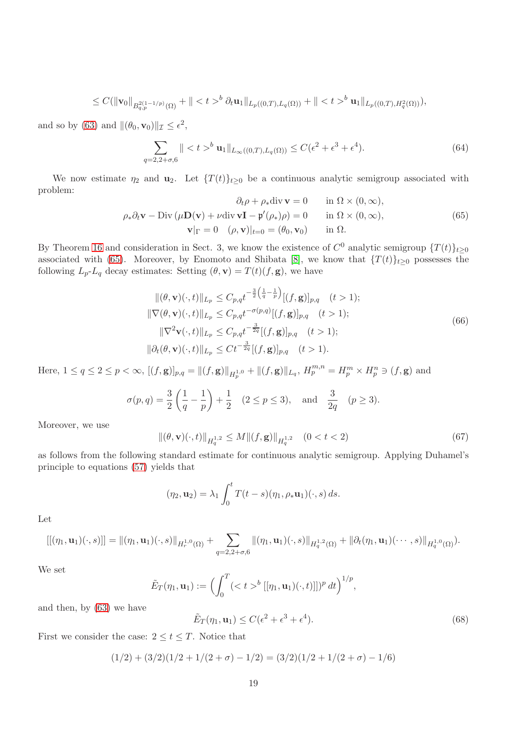$$
\leq C(\|\mathbf{v}_0\|_{B^{2(1-1/p)}_{q,p}(\Omega)} + \|\langle t \rangle^b \partial_t \mathbf{u}_1\|_{L_p((0,T),L_q(\Omega))} + \|\langle t \rangle^b \mathbf{u}_1\|_{L_p((0,T),H^2_q(\Omega))}),
$$

and so by [\(63\)](#page-17-2) and  $\|(\theta_0, \mathbf{v}_0)\|_{\mathcal{I}} \leq \epsilon^2$ ,

<span id="page-18-3"></span>
$$
\sum_{q=2,2+\sigma,6} \| ^{b} \mathbf{u}_{1} \|_{L_{\infty}((0,T),L_{q}(\Omega))} \leq C(\epsilon^{2} + \epsilon^{3} + \epsilon^{4}). \tag{64}
$$

We now estimate  $\eta_2$  and  $\mathbf{u}_2$ . Let  $\{T(t)\}_{t\geq 0}$  be a continuous analytic semigroup associated with problem:

<span id="page-18-0"></span>
$$
\partial_t \rho + \rho_* \text{div } \mathbf{v} = 0 \qquad \text{in } \Omega \times (0, \infty),
$$
  

$$
\rho_* \partial_t \mathbf{v} - \text{Div} (\mu \mathbf{D}(\mathbf{v}) + \nu \text{div } \mathbf{v} \mathbf{I} - \mathfrak{p}'(\rho_*)\rho) = 0 \qquad \text{in } \Omega \times (0, \infty),
$$
  

$$
\mathbf{v}|_{\Gamma} = 0 \quad (\rho, \mathbf{v})|_{t=0} = (\theta_0, \mathbf{v}_0) \qquad \text{in } \Omega.
$$
 (65)

By Theorem [16](#page-16-1) and consideration in Sect. 3, we know the existence of  $C^0$  analytic semigroup  $\{T(t)\}_{t\geq 0}$ associated with [\(65\)](#page-18-0). Moreover, by Enomoto and Shibata [\[8\]](#page-24-1), we know that  $\{T(t)\}_{t\geq0}$  possesses the following  $L_p-L_q$  decay estimates: Setting  $(\theta, \mathbf{v}) = T(t)(f, \mathbf{g})$ , we have

<span id="page-18-1"></span>
$$
\|(\theta, \mathbf{v})(\cdot, t)\|_{L_p} \le C_{p,q} t^{-\frac{3}{2} \left(\frac{1}{q} - \frac{1}{p}\right)} [(f, \mathbf{g})]_{p,q} \quad (t > 1);
$$
  

$$
\|\nabla(\theta, \mathbf{v})(\cdot, t)\|_{L_p} \le C_{p,q} t^{-\sigma(p,q)} [(f, \mathbf{g})]_{p,q} \quad (t > 1);
$$
  

$$
\|\nabla^2 \mathbf{v}(\cdot, t)\|_{L_p} \le C_{p,q} t^{-\frac{3}{2q}} [(f, \mathbf{g})]_{p,q} \quad (t > 1);
$$
  

$$
\|\partial_t(\theta, \mathbf{v})(\cdot, t)\|_{L_p} \le C t^{-\frac{3}{2q}} [(f, \mathbf{g})]_{p,q} \quad (t > 1).
$$
 (66)

Here,  $1 \le q \le 2 \le p < \infty$ ,  $[(f, \mathbf{g})]_{p,q} = ||(f, \mathbf{g})||_{H^{1,0}_p} + ||(f, \mathbf{g})||_{L_q}$ ,  $H^{m,n}_p = H^m_p \times H^n_p \ni (f, \mathbf{g})$  and

$$
\sigma(p,q) = \frac{3}{2} \left( \frac{1}{q} - \frac{1}{p} \right) + \frac{1}{2}
$$
  $(2 \le p \le 3)$ , and  $\frac{3}{2q}$   $(p \ge 3)$ .

Moreover, we use

<span id="page-18-2"></span>
$$
\|(\theta, \mathbf{v})(\cdot, t)\|_{H_q^{1,2}} \le M\|(f, \mathbf{g})\|_{H_q^{1,2}} \quad (0 < t < 2)
$$
\n(67)

as follows from the following standard estimate for continuous analytic semigroup. Applying Duhamel's principle to equations [\(57\)](#page-15-4) yields that

$$
(\eta_2, \mathbf{u}_2) = \lambda_1 \int_0^t T(t-s)(\eta_1, \rho_* \mathbf{u}_1)(\cdot, s) ds.
$$

Let

$$
[[(\eta_1, \mathbf{u}_1)(\cdot, s)]] = ||(\eta_1, \mathbf{u}_1)(\cdot, s)||_{H_r^{1,0}(\Omega)} + \sum_{q=2,2+\sigma,6} ||(\eta_1, \mathbf{u}_1)(\cdot, s)||_{H_q^{1,2}(\Omega)} + ||\partial_t(\eta_1, \mathbf{u}_1)(\cdots, s)||_{H_q^{1,0}(\Omega)}).
$$

We set

$$
\tilde{E}_T(\eta_1, \mathbf{u}_1) := \Big(\int_0^T (^b [[\eta_1, \mathbf{u}_1)(\cdot, t)]])^p dt\Big)^{1/p},
$$

and then, by [\(63\)](#page-17-2) we have

<span id="page-18-4"></span>
$$
\tilde{E}_T(\eta_1, \mathbf{u}_1) \le C(\epsilon^2 + \epsilon^3 + \epsilon^4). \tag{68}
$$

First we consider the case:  $2 \le t \le T$ . Notice that

$$
(1/2) + (3/2)(1/2 + 1/(2 + \sigma) - 1/2) = (3/2)(1/2 + 1/(2 + \sigma) - 1/6)
$$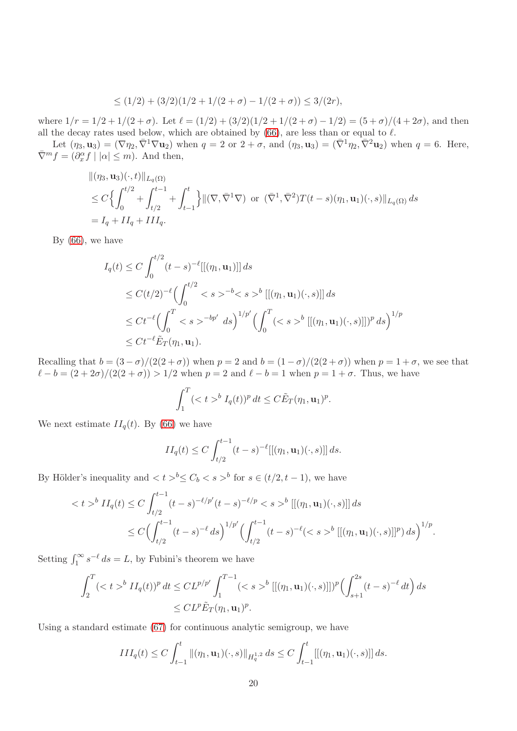$$
\leq (1/2) + (3/2)(1/2 + 1/(2 + \sigma) - 1/(2 + \sigma)) \leq 3/(2r),
$$

where  $1/r = 1/2 + 1/(2 + \sigma)$ . Let  $\ell = (1/2) + (3/2)(1/2 + 1/(2 + \sigma) - 1/2) = (5 + \sigma)/(4 + 2\sigma)$ , and then all the decay rates used below, which are obtained by [\(66\)](#page-18-1), are less than or equal to  $\ell$ .

Let  $(\eta_3, \mathbf{u}_3) = (\nabla \eta_2, \bar{\nabla}^1 \nabla \mathbf{u}_2)$  when  $q = 2$  or  $2 + \sigma$ , and  $(\eta_3, \mathbf{u}_3) = (\bar{\nabla}^1 \eta_2, \bar{\nabla}^2 \mathbf{u}_2)$  when  $q = 6$ . Here,  $\bar{\nabla}^m f = (\partial_x^{\alpha} f \mid |\alpha| \leq m)$ . And then,

$$
\begin{aligned}\n&\|(\eta_3, \mathbf{u}_3)(\cdot, t)\|_{L_q(\Omega)} \\
&\leq C \Big\{ \int_0^{t/2} + \int_{t/2}^{t-1} + \int_{t-1}^t \Big\} \|(\nabla, \bar{\nabla}^1 \nabla) \text{ or } (\bar{\nabla}^1, \bar{\nabla}^2) T(t-s)(\eta_1, \mathbf{u}_1)(\cdot, s) \|_{L_q(\Omega)} ds \\
&= I_q + II_q + III_q.\n\end{aligned}
$$

By  $(66)$ , we have

$$
I_q(t) \le C \int_0^{t/2} (t-s)^{-\ell} [[(\eta_1, \mathbf{u}_1)]] ds
$$
  
\n
$$
\le C(t/2)^{-\ell} \Big( \int_0^{t/2} < s >^{-b} < s >^b [[(\eta_1, \mathbf{u}_1)(\cdot, s)]] ds
$$
  
\n
$$
\le Ct^{-\ell} \Big( \int_0^T < s >^{-bp'} ds \Big)^{1/p'} \Big( \int_0^T (< s >^b [[(\eta_1, \mathbf{u}_1)(\cdot, s)]])^p ds \Big)^{1/p}
$$
  
\n
$$
\le Ct^{-\ell} \tilde{E}_T(\eta_1, \mathbf{u}_1).
$$

Recalling that  $b = (3 - \sigma)/(2(2 + \sigma))$  when  $p = 2$  and  $b = (1 - \sigma)/(2(2 + \sigma))$  when  $p = 1 + \sigma$ , we see that  $\ell - b = (2 + 2\sigma)/(2(2 + \sigma)) > 1/2$  when  $p = 2$  and  $\ell - b = 1$  when  $p = 1 + \sigma$ . Thus, we have

$$
\int_1^T (^b I_q(t))^p dt \le C \tilde{E}_T(\eta_1, \mathbf{u}_1)^p.
$$

We next estimate  $II_q(t)$ . By [\(66\)](#page-18-1) we have

$$
II_q(t) \le C \int_{t/2}^{t-1} (t-s)^{-\ell} [[(\eta_1, \mathbf{u}_1)(\cdot, s)]] ds.
$$

By Hölder's inequality and  $\langle t \rangle^b \leq C_b \langle s \rangle^b$  for  $s \in (t/2, t-1)$ , we have

$$
\langle t \rangle^{b} II_{q}(t) \leq C \int_{t/2}^{t-1} (t-s)^{-\ell/p'} (t-s)^{-\ell/p} \langle s \rangle^{b} [[(\eta_{1}, \mathbf{u}_{1})(\cdot, s)]] ds
$$
  

$$
\leq C \Big(\int_{t/2}^{t-1} (t-s)^{-\ell} ds\Big)^{1/p'} \Big(\int_{t/2}^{t-1} (t-s)^{-\ell} (\langle s \rangle^{b} [[(\eta_{1}, \mathbf{u}_{1})(\cdot, s)]]^{p}) ds\Big)^{1/p}.
$$

Setting  $\int_1^{\infty} s^{-\ell} ds = L$ , by Fubini's theorem we have

$$
\int_{2}^{T} (^{b} II_{q}(t))^{p} dt \leq CL^{p/p'} \int_{1}^{T-1} (~~^{b} [[(\eta_{1}, \mathbf{u}_{1})(\cdot, s)]])^{p} \left(\int_{s+1}^{2s} (t-s)^{-\ell} dt\right) ds~~
$$
  

$$
\leq CL^{p} \tilde{E}_{T}(\eta_{1}, \mathbf{u}_{1})^{p}.
$$

Using a standard estimate [\(67\)](#page-18-2) for continuous analytic semigroup, we have

$$
III_q(t) \le C \int_{t-1}^t \|(\eta_1, \mathbf{u}_1)(\cdot, s)\|_{H_q^{1,2}} ds \le C \int_{t-1}^t [[(\eta_1, \mathbf{u}_1)(\cdot, s)]] ds.
$$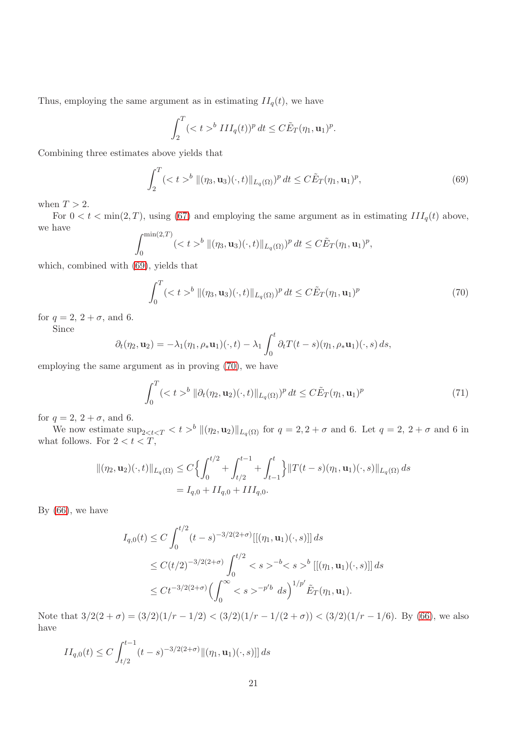Thus, employing the same argument as in estimating  $II_q(t)$ , we have

$$
\int_2^T (^b III_q(t))^p dt \le C \tilde{E}_T(\eta_1, \mathbf{u}_1)^p.
$$

Combining three estimates above yields that

<span id="page-20-0"></span>
$$
\int_{2}^{T} (^{b} \|( \eta_{3}, \mathbf{u}_{3})(\cdot, t) \|_{L_{q}(\Omega)})^{p} dt \leq C \tilde{E}_{T}(\eta_{1}, \mathbf{u}_{1})^{p}, \tag{69}
$$

when  $T > 2$ .

For  $0 < t < \min(2,T)$ , using [\(67\)](#page-18-2) and employing the same argument as in estimating  $III_q(t)$  above, we have

$$
\int_0^{\min(2,T)} (^b \|( \eta_3,\mathbf{u}_3)(\cdot,t)\|_{L_q(\Omega)})^p dt \leq C \tilde E_T(\eta_1,\mathbf{u}_1)^p,
$$

which, combined with [\(69\)](#page-20-0), yields that

<span id="page-20-1"></span>
$$
\int_0^T (^b \|( \eta_3, \mathbf{u}_3)(\cdot, t)\|_{L_q(\Omega)})^p dt \le C \tilde{E}_T(\eta_1, \mathbf{u}_1)^p
$$
\n(70)

for  $q=2, 2+\sigma$ , and 6.

Since

$$
\partial_t(\eta_2, \mathbf{u}_2) = -\lambda_1(\eta_1, \rho_* \mathbf{u}_1)(\cdot, t) - \lambda_1 \int_0^t \partial_t T(t-s)(\eta_1, \rho_* \mathbf{u}_1)(\cdot, s) ds,
$$

employing the same argument as in proving [\(70\)](#page-20-1), we have

<span id="page-20-2"></span>
$$
\int_0^T (^b \|\partial_t(\eta_2, \mathbf{u}_2)(\cdot, t)\|_{L_q(\Omega)})^p dt \le C \tilde{E}_T(\eta_1, \mathbf{u}_1)^p
$$
\n(71)

for  $q=2, 2+\sigma$ , and 6.

We now estimate  $\sup_{2\leq t\leq T} \langle t \rangle^b \| (\eta_2, \mathbf{u}_2) \|_{L_q(\Omega)}$  for  $q = 2, 2 + \sigma$  and 6. Let  $q = 2, 2 + \sigma$  and 6 in what follows. For  $2 < t < T$ ,

$$
\begin{aligned} ||(\eta_2, \mathbf{u}_2)(\cdot, t)||_{L_q(\Omega)} &\le C \Big\{ \int_0^{t/2} + \int_{t/2}^{t-1} + \int_{t-1}^t \Big\} ||T(t-s)(\eta_1, \mathbf{u}_1)(\cdot, s)||_{L_q(\Omega)} \, ds \\ &= I_{q,0} + II_{q,0} + III_{q,0}. \end{aligned}
$$

By  $(66)$ , we have

$$
I_{q,0}(t) \le C \int_0^{t/2} (t-s)^{-3/2(2+\sigma)} [[(\eta_1, \mathbf{u}_1)(\cdot, s)]] ds
$$
  
\n
$$
\le C(t/2)^{-3/2(2+\sigma)} \int_0^{t/2} ~~^{-b} < s>^{b} [[(\eta_1, \mathbf{u}_1)(\cdot, s)]] ds~~
$$
  
\n
$$
\le Ct^{-3/2(2+\sigma)} \Big(\int_0^\infty ~~^{-p'b} ds\Big)^{1/p'} \tilde{E}_T(\eta_1, \mathbf{u}_1).~~
$$

Note that  $3/2(2+\sigma) = (3/2)(1/r - 1/2) < (3/2)(1/r - 1/(2+\sigma)) < (3/2)(1/r - 1/6)$ . By [\(66\)](#page-18-1), we also have

$$
II_{q,0}(t) \le C \int_{t/2}^{t-1} (t-s)^{-3/2(2+\sigma)} \|(\eta_1, \mathbf{u}_1)(\cdot, s)\| ds
$$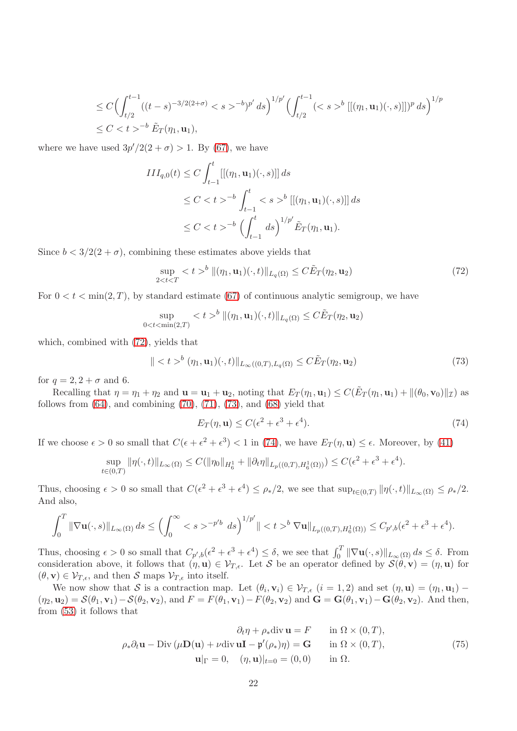$$
\leq C \Big( \int_{t/2}^{t-1} ((t-s)^{-3/2(2+\sigma)} < s >^{-b})^{p'} ds \Big)^{1/p'} \Big( \int_{t/2}^{t-1} (< s >^{b} [[(\eta_1, \mathbf{u}_1)(\cdot, s)]])^p ds \Big)^{1/p}
$$
  

$$
\leq C < t >^{-b} \tilde{E}_T(\eta_1, \mathbf{u}_1),
$$

where we have used  $3p'/2(2+\sigma) > 1$ . By [\(67\)](#page-18-2), we have

$$
III_{q,0}(t) \le C \int_{t-1}^{t} [[(\eta_1, \mathbf{u}_1)(\cdot, s)]] ds
$$
  
\n
$$
\le C < t >^{-b} \int_{t-1}^{t} < s >^{b} [[(\eta_1, \mathbf{u}_1)(\cdot, s)]] ds
$$
  
\n
$$
\le C < t >^{-b} \left(\int_{t-1}^{t} ds\right)^{1/p'} \tilde{E}_T(\eta_1, \mathbf{u}_1).
$$

Since  $b < 3/2(2 + \sigma)$ , combining these estimates above yields that

<span id="page-21-0"></span>
$$
\sup_{2 < t < T} < t >^b \|\eta_1, \mathbf{u}_1)(\cdot, t)\|_{L_q(\Omega)} \leq C \tilde{E}_T(\eta_2, \mathbf{u}_2) \tag{72}
$$

For  $0 < t < \min(2, T)$ , by standard estimate [\(67\)](#page-18-2) of continuous analytic semigroup, we have

$$
\sup_{0 < t < \min(2,T)} < t >^b \|\eta_1, \mathbf{u}_1)(\cdot, t)\|_{L_q(\Omega)} \leq C \tilde{E}_T(\eta_2, \mathbf{u}_2)
$$

which, combined with [\(72\)](#page-21-0), yields that

<span id="page-21-1"></span>
$$
\| ^{b} (\eta_1, \mathbf{u}_1)(\cdot, t) \|_{L_{\infty}((0,T), L_q(\Omega)} \leq C \tilde{E}_T(\eta_2, \mathbf{u}_2)
$$
\n(73)

for  $q = 2, 2 + \sigma$  and 6.

Recalling that  $\eta = \eta_1 + \eta_2$  and  $\mathbf{u} = \mathbf{u}_1 + \mathbf{u}_2$ , noting that  $E_T(\eta_1, \mathbf{u}_1) \leq C(\tilde{E}_T(\eta_1, \mathbf{u}_1) + ||(\theta_0, \mathbf{v}_0)||_{\mathcal{I}})$  as follows from  $(64)$ , and combining  $(70)$ ,  $(71)$ ,  $(73)$ , and  $(68)$  yield that

<span id="page-21-2"></span>
$$
E_T(\eta, \mathbf{u}) \le C(\epsilon^2 + \epsilon^3 + \epsilon^4). \tag{74}
$$

If we choose  $\epsilon > 0$  so small that  $C(\epsilon + \epsilon^2 + \epsilon^3) < 1$  in [\(74\)](#page-21-2), we have  $E_T(\eta, \mathbf{u}) \leq \epsilon$ . Moreover, by [\(41\)](#page-12-4)

$$
\sup_{t\in(0,T)} \|\eta(\cdot,t)\|_{L_{\infty}(\Omega)} \le C(\|\eta_0\|_{H_6^1} + \|\partial_t \eta\|_{L_p((0,T),H_6^1(\Omega))}) \le C(\epsilon^2 + \epsilon^3 + \epsilon^4).
$$

Thus, choosing  $\epsilon > 0$  so small that  $C(\epsilon^2 + \epsilon^3 + \epsilon^4) \leq \rho_*/2$ , we see that  $\sup_{t \in (0,T)} ||\eta(\cdot,t)||_{L_\infty(\Omega)} \leq \rho_*/2$ . And also,

$$
\int_0^T \|\nabla \mathbf{u}(\cdot,s)\|_{L_\infty(\Omega)} ds \le \left(\int_0^\infty \langle s \rangle^{-p'b} ds\right)^{1/p'} \|\langle t \rangle^b \|\nabla \mathbf{u}\|_{L_p((0,T),H_6^1(\Omega))} \le C_{p',b}(\epsilon^2 + \epsilon^3 + \epsilon^4).
$$

Thus, choosing  $\epsilon > 0$  so small that  $C_{p',b}(\epsilon^2 + \epsilon^3 + \epsilon^4) \leq \delta$ , we see that  $\int_0^T \|\nabla \mathbf{u}(\cdot,s)\|_{L_\infty(\Omega)} ds \leq \delta$ . From consideration above, it follows that  $(\eta, \mathbf{u}) \in \mathcal{V}_{T,\epsilon}$ . Let S be an operator defined by  $\mathcal{S}(\theta, \mathbf{v}) = (\eta, \mathbf{u})$  for  $(\theta, \mathbf{v}) \in \mathcal{V}_{T, \epsilon}$ , and then S maps  $\mathcal{V}_{T, \epsilon}$  into itself.

We now show that S is a contraction map. Let  $(\theta_i, \mathbf{v}_i) \in \mathcal{V}_{T,\epsilon}$   $(i = 1, 2)$  and set  $(\eta, \mathbf{u}) = (\eta_1, \mathbf{u}_1) (\eta_2, \mathbf{u}_2) = \mathcal{S}(\theta_1, \mathbf{v}_1) - \mathcal{S}(\theta_2, \mathbf{v}_2)$ , and  $F = F(\theta_1, \mathbf{v}_1) - F(\theta_2, \mathbf{v}_2)$  and  $\mathbf{G} = \mathbf{G}(\theta_1, \mathbf{v}_1) - \mathbf{G}(\theta_2, \mathbf{v}_2)$ . And then, from [\(53\)](#page-15-0) it follows that

<span id="page-21-3"></span>
$$
\partial_t \eta + \rho_* \text{div } \mathbf{u} = F \quad \text{in } \Omega \times (0, T),
$$
  

$$
\rho_* \partial_t \mathbf{u} - \text{Div } (\mu \mathbf{D}(\mathbf{u}) + \nu \text{div } \mathbf{u} \mathbf{I} - \mathbf{p}'(\rho_*) \eta) = \mathbf{G} \quad \text{in } \Omega \times (0, T),
$$
  

$$
\mathbf{u}|_{\Gamma} = 0, \quad (\eta, \mathbf{u})|_{t=0} = (0, 0) \quad \text{in } \Omega.
$$
 (75)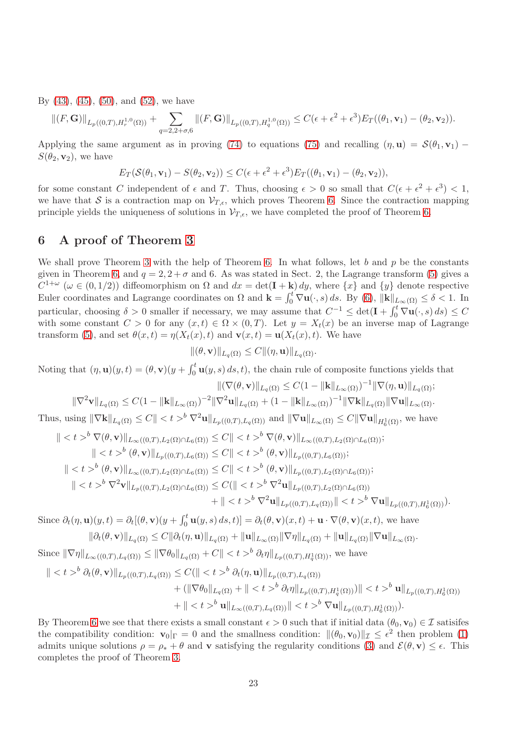By  $(43)$ ,  $(45)$ ,  $(50)$ , and  $(52)$ , we have

$$
\|(F,\mathbf{G})\|_{L_p((0,T),H_r^{1,0}(\Omega))}+\sum_{q=2,2+\sigma,6}\|(F,\mathbf{G})\|_{L_p((0,T),H_q^{1,0}(\Omega))}\leq C(\epsilon+\epsilon^2+\epsilon^3)E_T((\theta_1,\mathbf{v}_1)-(\theta_2,\mathbf{v}_2)).
$$

Applying the same argument as in proving [\(74\)](#page-21-2) to equations [\(75\)](#page-21-3) and recalling  $(\eta, \mathbf{u}) = \mathcal{S}(\theta_1, \mathbf{v}_1)$  –  $S(\theta_2, \mathbf{v}_2)$ , we have

$$
E_T(\mathcal{S}(\theta_1, \mathbf{v}_1) - S(\theta_2, \mathbf{v}_2)) \le C(\epsilon + \epsilon^2 + \epsilon^3) E_T((\theta_1, \mathbf{v}_1) - (\theta_2, \mathbf{v}_2)),
$$

for some constant C independent of  $\epsilon$  and T. Thus, choosing  $\epsilon > 0$  so small that  $C(\epsilon + \epsilon^2 + \epsilon^3) < 1$ , we have that S is a contraction map on  $V_{T,\epsilon}$ , which proves Theorem [6.](#page-5-4) Since the contraction mapping principle yields the uniqueness of solutions in  $V_{T,\epsilon}$ , we have completed the proof of Theorem [6.](#page-5-4)

### 6 A proof of Theorem [3](#page-2-0)

We shall prove Theorem [3](#page-2-0) with the help of Theorem [6.](#page-5-4) In what follows, let b and p be the constants given in Theorem [6,](#page-5-4) and  $q = 2, 2 + \sigma$  and 6. As was stated in Sect. 2, the Lagrange transform [\(5\)](#page-4-0) gives a  $C^{1+\omega}$  ( $\omega \in (0,1/2)$ ) diffeomorphism on  $\Omega$  and  $dx = \det(\mathbf{I} + \mathbf{k}) dy$ , where  $\{x\}$  and  $\{y\}$  denote respective Euler coordinates and Lagrange coordinates on  $\Omega$  and  $\mathbf{k} = \int_0^t \nabla \mathbf{u}(\cdot, s) ds$ . By [\(6\)](#page-4-2),  $\|\mathbf{k}\|_{L_\infty(\Omega)} \le \delta < 1$ . In particular, choosing  $\delta > 0$  smaller if necessary, we may assume that  $C^{-1} \le \det(\mathbf{I} + \int_0^t \nabla \mathbf{u}(\cdot, s) ds) \le C$ with some constant  $C > 0$  for any  $(x, t) \in \Omega \times (0, T)$ . Let  $y = X_t(x)$  be an inverse map of Lagrange transform [\(5\)](#page-4-0), and set  $\theta(x,t) = \eta(X_t(x), t)$  and  $\mathbf{v}(x,t) = \mathbf{u}(X_t(x), t)$ . We have

$$
\|(\theta,\mathbf{v})\|_{L_q(\Omega)} \leq C \|(\eta,\mathbf{u})\|_{L_q(\Omega)}.
$$

Noting that  $(\eta, \mathbf{u})(y, t) = (\theta, \mathbf{v})(y + \int_0^t \mathbf{u}(y, s) ds, t)$ , the chain rule of composite functions yields that

$$
\|(\nabla(\theta,\mathbf{v})\|_{L_q(\Omega)} \leq C(1-\|\mathbf{k}\|_{L_\infty(\Omega)})^{-1}\|\nabla(\eta,\mathbf{u})\|_{L_q(\Omega)};
$$
  

$$
\|\nabla^2\mathbf{v}\|_{L_q(\Omega)} \leq C(1-\|\mathbf{k}\|_{L_\infty(\Omega)})^{-2}\|\nabla^2\mathbf{u}\|_{L_q(\Omega)} + (1-\|\mathbf{k}\|_{L_\infty(\Omega)})^{-1}\|\nabla\mathbf{k}\|_{L_q(\Omega)}\|\nabla\mathbf{u}\|_{L_\infty(\Omega)}.
$$

Thus, using  $\|\nabla \mathbf{k}\|_{L_q(\Omega)} \leq C \|\langle t \rangle^b \nabla^2 \mathbf{u}\|_{L_p((0,T),L_q(\Omega))}$  and  $\|\nabla \mathbf{u}\|_{L_\infty(\Omega)} \leq C \|\nabla \mathbf{u}\|_{H_6^1(\Omega)}$ , we have

$$
\| ^{b} \nabla(\theta, \mathbf{v}) \|_{L_{\infty}((0,T),L_{2}(\Omega) \cap L_{6}(\Omega))} \leq C \| ^{b} \nabla(\theta, \mathbf{v}) \|_{L_{\infty}((0,T),L_{2}(\Omega) \cap L_{6}(\Omega))};
$$
  
\n
$$
\| ^{b} (\theta, \mathbf{v}) \|_{L_{p}((0,T),L_{6}(\Omega))} \leq C \| ^{b} (\theta, \mathbf{v}) \|_{L_{p}((0,T),L_{6}(\Omega))};
$$
  
\n
$$
\| ^{b} (\theta, \mathbf{v}) \|_{L_{\infty}((0,T),L_{2}(\Omega) \cap L_{6}(\Omega))} \leq C \| ^{b} (\theta, \mathbf{v}) \|_{L_{p}((0,T),L_{2}(\Omega) \cap L_{6}(\Omega))};
$$
  
\n
$$
\| ^{b} \nabla^{2} \mathbf{v} \|_{L_{p}((0,T),L_{2}(\Omega) \cap L_{6}(\Omega))} \leq C (\| ^{b} \nabla^{2} \mathbf{u} \|_{L_{p}((0,T),L_{2}(\Omega) \cap L_{6}(\Omega))} + \|\langle ^{b} \nabla^{2} \mathbf{u} \|_{L_{p}((0,T),L_{q}(\Omega))} \| < t>^{b} \nabla \mathbf{u} \|_{L_{p}((0,T),H_{6}^{1}(\Omega))}).
$$

Since 
$$
\partial_t(\eta, \mathbf{u})(y, t) = \partial_t[(\theta, \mathbf{v})(y + \int_0^t \mathbf{u}(y, s) ds, t)] = \partial_t(\theta, \mathbf{v})(x, t) + \mathbf{u} \cdot \nabla(\theta, \mathbf{v})(x, t)
$$
, we have  

$$
\|\partial_t(\theta, \mathbf{v})\|_{L_q(\Omega)} \le C \|\partial_t(\eta, \mathbf{u})\|_{L_q(\Omega)} + \|\mathbf{u}\|_{L_\infty(\Omega)} \|\nabla \eta\|_{L_q(\Omega)} + \|\mathbf{u}\|_{L_q(\Omega)} \|\nabla \mathbf{u}\|_{L_\infty(\Omega)}.
$$

Since  $\|\nabla \eta\|_{L_{\infty}((0,T),L_q(\Omega))} \leq \|\nabla \theta_0\|_{L_q(\Omega)} + C \| < t >^b \partial_t \eta \|_{L_p((0,T),H_q^1(\Omega))}$ , we have

$$
\| ^{b} \partial_{t}(\theta, \mathbf{v}) \|_{L_{p}((0,T),L_{q}(\Omega))} \leq C(\| ^{b} \partial_{t}(\eta, \mathbf{u}) \|_{L_{p}((0,T),L_{q}(\Omega))}
$$
  
+  $(\|\nabla \theta_{0}\|_{L_{q}(\Omega)} + \| ^{b} \partial_{t}\eta \|_{L_{p}((0,T),H_{q}^{1}(\Omega))}) \| ^{b} \mathbf{u} \|_{L_{p}((0,T),H_{6}^{1}(\Omega))}$   
+  $\| ^{b} \mathbf{u} \|_{L_{\infty}((0,T),L_{q}(\Omega))} \| ^{b} \nabla \mathbf{u} \|_{L_{p}((0,T),H_{6}^{1}(\Omega))}).$ 

By Theorem [6](#page-5-4) we see that there exists a small constant  $\epsilon > 0$  such that if initial data  $(\theta_0, \mathbf{v}_0) \in \mathcal{I}$  satisifes the compatibility condition:  $\mathbf{v}_0|_{\Gamma} = 0$  and the smallness condition:  $\|(\theta_0, \mathbf{v}_0)\|_{\mathcal{I}} \leq \epsilon^2$  then problem [\(1\)](#page-1-1) admits unique solutions  $\rho = \rho_* + \theta$  and v satisfying the regularity conditions [\(3\)](#page-2-1) and  $\mathcal{E}(\theta, \mathbf{v}) \leq \epsilon$ . This completes the proof of Theorem [3.](#page-2-0)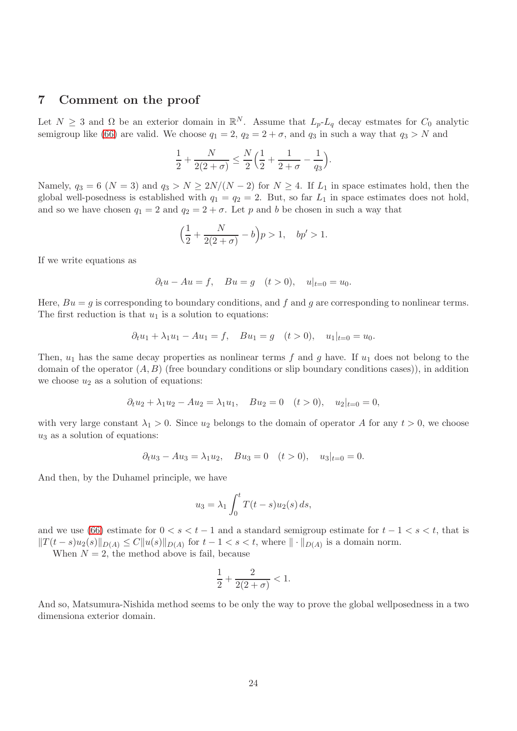#### 7 Comment on the proof

Let  $N \geq 3$  and  $\Omega$  be an exterior domain in  $\mathbb{R}^N$ . Assume that  $L_p-L_q$  decay estmates for  $C_0$  analytic semigroup like [\(66\)](#page-18-1) are valid. We choose  $q_1 = 2$ ,  $q_2 = 2 + \sigma$ , and  $q_3$  in such a way that  $q_3 > N$  and

$$
\frac{1}{2} + \frac{N}{2(2+\sigma)} \le \frac{N}{2} \Big( \frac{1}{2} + \frac{1}{2+\sigma} - \frac{1}{q_3} \Big).
$$

Namely,  $q_3 = 6$  ( $N = 3$ ) and  $q_3 > N \ge 2N/(N-2)$  for  $N \ge 4$ . If  $L_1$  in space estimates hold, then the global well-posedness is established with  $q_1 = q_2 = 2$ . But, so far  $L_1$  in space estimates does not hold, and so we have chosen  $q_1 = 2$  and  $q_2 = 2 + \sigma$ . Let p and b be chosen in such a way that

$$
\left(\frac{1}{2} + \frac{N}{2(2+\sigma)} - b\right)p > 1, \quad bp' > 1.
$$

If we write equations as

$$
\partial_t u - Au = f
$$
,  $Bu = g$   $(t > 0)$ ,  $u|_{t=0} = u_0$ .

Here,  $Bu = q$  is corresponding to boundary conditions, and f and q are corresponding to nonlinear terms. The first reduction is that  $u_1$  is a solution to equations:

$$
\partial_t u_1 + \lambda_1 u_1 - Au_1 = f
$$
,  $Bu_1 = g$   $(t > 0)$ ,  $u_1|_{t=0} = u_0$ .

Then,  $u_1$  has the same decay properties as nonlinear terms f and g have. If  $u_1$  does not belong to the domain of the operator  $(A, B)$  (free boundary conditions or slip boundary conditions cases)), in addition we choose  $u_2$  as a solution of equations:

$$
\partial_t u_2 + \lambda_1 u_2 - Au_2 = \lambda_1 u_1, \quad Bu_2 = 0 \quad (t > 0), \quad u_2|_{t=0} = 0,
$$

with very large constant  $\lambda_1 > 0$ . Since  $u_2$  belongs to the domain of operator A for any  $t > 0$ , we choose  $u_3$  as a solution of equations:

$$
\partial_t u_3 - Au_3 = \lambda_1 u_2
$$
,  $Bu_3 = 0$   $(t > 0)$ ,  $u_3|_{t=0} = 0$ .

And then, by the Duhamel principle, we have

$$
u_3 = \lambda_1 \int_0^t T(t-s)u_2(s) ds,
$$

and we use [\(66\)](#page-18-1) estimate for  $0 < s < t - 1$  and a standard semigroup estimate for  $t - 1 < s < t$ , that is  $||T(t - s)u_2(s)||_{D(A)} \leq C||u(s)||_{D(A)}$  for  $t - 1 < s < t$ , where  $|| \cdot ||_{D(A)}$  is a domain norm.

When  $N = 2$ , the method above is fail, because

$$
\frac{1}{2}+\frac{2}{2(2+\sigma)}<1.
$$

And so, Matsumura-Nishida method seems to be only the way to prove the global wellposedness in a two dimensiona exterior domain.